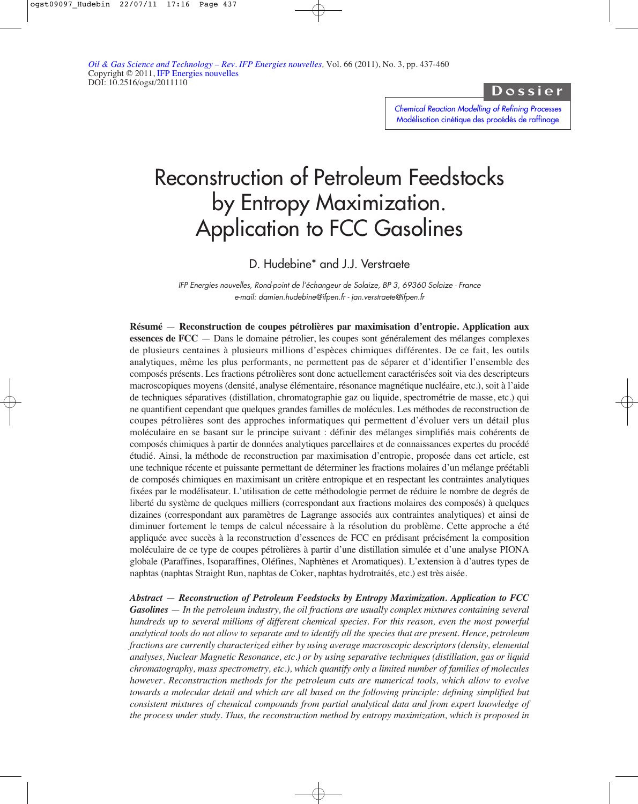Dossier

[Chemical Reaction Modelling of Refining Processes](http://ogst.ifpenergiesnouvelles.fr/articles/ogst/abs/2011/03/contents/contents.html)  Modélisation cinétique des procédés de raffinage

# Reconstruction of Petroleum Feedstocks by Entropy Maximization. Application to FCC Gasolines

## D. Hudebine\* and J.J. Verstraete

IFP Energies nouvelles, Rond-point de l'échangeur de Solaize, BP 3, 69360 Solaize - France e-mail: damien.hudebine@ifpen.fr - jan.verstraete@ifpen.fr

**Résumé** — **Reconstruction de coupes pétrolières par maximisation d'entropie. Application aux essences de FCC** — Dans le domaine pétrolier, les coupes sont généralement des mélanges complexes de plusieurs centaines à plusieurs millions d'espèces chimiques différentes. De ce fait, les outils analytiques, même les plus performants, ne permettent pas de séparer et d'identifier l'ensemble des composés présents. Les fractions pétrolières sont donc actuellement caractérisées soit via des descripteurs macroscopiques moyens (densité, analyse élémentaire, résonance magnétique nucléaire, etc.), soit à l'aide de techniques séparatives (distillation, chromatographie gaz ou liquide, spectrométrie de masse, etc.) qui ne quantifient cependant que quelques grandes familles de molécules. Les méthodes de reconstruction de coupes pétrolières sont des approches informatiques qui permettent d'évoluer vers un détail plus moléculaire en se basant sur le principe suivant : définir des mélanges simplifiés mais cohérents de composés chimiques à partir de données analytiques parcellaires et de connaissances expertes du procédé étudié. Ainsi, la méthode de reconstruction par maximisation d'entropie, proposée dans cet article, est une technique récente et puissante permettant de déterminer les fractions molaires d'un mélange préétabli de composés chimiques en maximisant un critère entropique et en respectant les contraintes analytiques fixées par le modélisateur. L'utilisation de cette méthodologie permet de réduire le nombre de degrés de liberté du système de quelques milliers (correspondant aux fractions molaires des composés) à quelques dizaines (correspondant aux paramètres de Lagrange associés aux contraintes analytiques) et ainsi de diminuer fortement le temps de calcul nécessaire à la résolution du problème. Cette approche a été appliquée avec succès à la reconstruction d'essences de FCC en prédisant précisément la composition moléculaire de ce type de coupes pétrolières à partir d'une distillation simulée et d'une analyse PIONA globale (Paraffines, Isoparaffines, Oléfines, Naphtènes et Aromatiques). L'extension à d'autres types de naphtas (naphtas Straight Run, naphtas de Coker, naphtas hydrotraités, etc.) est très aisée.

*Abstract* — *Reconstruction of Petroleum Feedstocks by Entropy Maximization. Application to FCC Gasolines* — *In the petroleum industry, the oil fractions are usually complex mixtures containing several hundreds up to several millions of different chemical species. For this reason, even the most powerful analytical tools do not allow to separate and to identify all the species that are present. Hence, petroleum fractions are currently characterized either by using average macroscopic descriptors (density, elemental analyses, Nuclear Magnetic Resonance, etc.) or by using separative techniques (distillation, gas or liquid chromatography, mass spectrometry, etc.), which quantify only a limited number of families of molecules however. Reconstruction methods for the petroleum cuts are numerical tools, which allow to evolve towards a molecular detail and which are all based on the following principle: defining simplified but consistent mixtures of chemical compounds from partial analytical data and from expert knowledge of the process under study. Thus, the reconstruction method by entropy maximization, which is proposed in*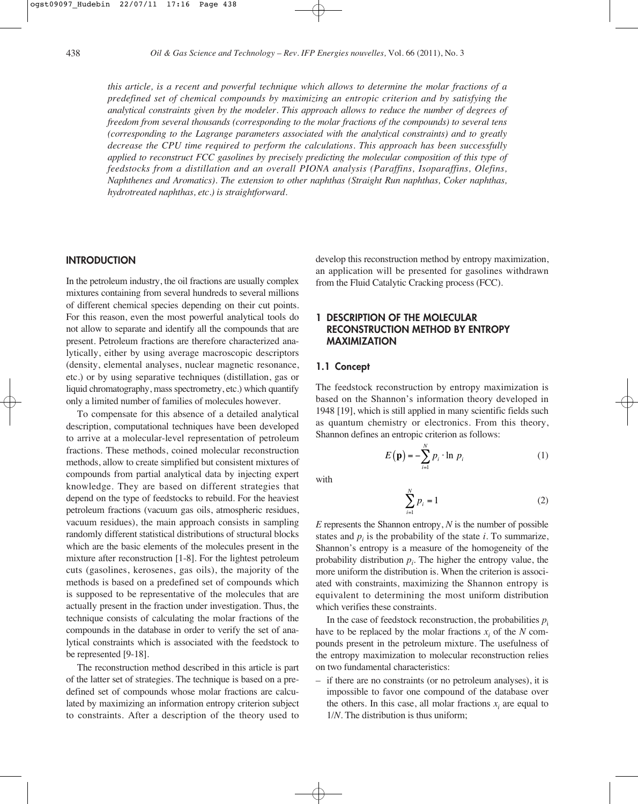*this article, is a recent and powerful technique which allows to determine the molar fractions of a predefined set of chemical compounds by maximizing an entropic criterion and by satisfying the analytical constraints given by the modeler. This approach allows to reduce the number of degrees of freedom from several thousands (corresponding to the molar fractions of the compounds) to several tens (corresponding to the Lagrange parameters associated with the analytical constraints) and to greatly decrease the CPU time required to perform the calculations. This approach has been successfully applied to reconstruct FCC gasolines by precisely predicting the molecular composition of this type of feedstocks from a distillation and an overall PIONA analysis (Paraffins, Isoparaffins, Olefins, Naphthenes and Aromatics). The extension to other naphthas (Straight Run naphthas, Coker naphthas, hydrotreated naphthas, etc.) is straightforward.*

#### **INTRODUCTION**

In the petroleum industry, the oil fractions are usually complex mixtures containing from several hundreds to several millions of different chemical species depending on their cut points. For this reason, even the most powerful analytical tools do not allow to separate and identify all the compounds that are present. Petroleum fractions are therefore characterized analytically, either by using average macroscopic descriptors (density, elemental analyses, nuclear magnetic resonance, etc.) or by using separative techniques (distillation, gas or liquid chromatography, mass spectrometry, etc.) which quantify only a limited number of families of molecules however.

To compensate for this absence of a detailed analytical description, computational techniques have been developed to arrive at a molecular-level representation of petroleum fractions. These methods, coined molecular reconstruction methods, allow to create simplified but consistent mixtures of compounds from partial analytical data by injecting expert knowledge. They are based on different strategies that depend on the type of feedstocks to rebuild. For the heaviest petroleum fractions (vacuum gas oils, atmospheric residues, vacuum residues), the main approach consists in sampling randomly different statistical distributions of structural blocks which are the basic elements of the molecules present in the mixture after reconstruction [1-8]. For the lightest petroleum cuts (gasolines, kerosenes, gas oils), the majority of the methods is based on a predefined set of compounds which is supposed to be representative of the molecules that are actually present in the fraction under investigation. Thus, the technique consists of calculating the molar fractions of the compounds in the database in order to verify the set of analytical constraints which is associated with the feedstock to be represented [9-18].

The reconstruction method described in this article is part of the latter set of strategies. The technique is based on a predefined set of compounds whose molar fractions are calculated by maximizing an information entropy criterion subject to constraints. After a description of the theory used to develop this reconstruction method by entropy maximization, an application will be presented for gasolines withdrawn from the Fluid Catalytic Cracking process (FCC).

## 1 DESCRIPTION OF THE MOLECULAR RECONSTRUCTION METHOD BY ENTROPY MAXIMIZATION

#### 1.1 Concept

The feedstock reconstruction by entropy maximization is based on the Shannon's information theory developed in 1948 [19], which is still applied in many scientific fields such as quantum chemistry or electronics. From this theory, Shannon defines an entropic criterion as follows:

$$
E(\mathbf{p}) = -\sum_{i=1}^{N} p_i \cdot \ln p_i \tag{1}
$$

with

$$
\sum_{i=1}^{N} p_i = 1
$$
 (2)

*E* represents the Shannon entropy, *N* is the number of possible states and  $p_i$  is the probability of the state  $i$ . To summarize, Shannon's entropy is a measure of the homogeneity of the probability distribution  $p_i$ . The higher the entropy value, the more uniform the distribution is. When the criterion is associated with constraints, maximizing the Shannon entropy is equivalent to determining the most uniform distribution which verifies these constraints.

In the case of feedstock reconstruction, the probabilities  $p_i$ have to be replaced by the molar fractions  $x_i$  of the  $N$  compounds present in the petroleum mixture. The usefulness of the entropy maximization to molecular reconstruction relies on two fundamental characteristics:

– if there are no constraints (or no petroleum analyses), it is impossible to favor one compound of the database over the others. In this case, all molar fractions  $x_i$  are equal to 1/*N*. The distribution is thus uniform;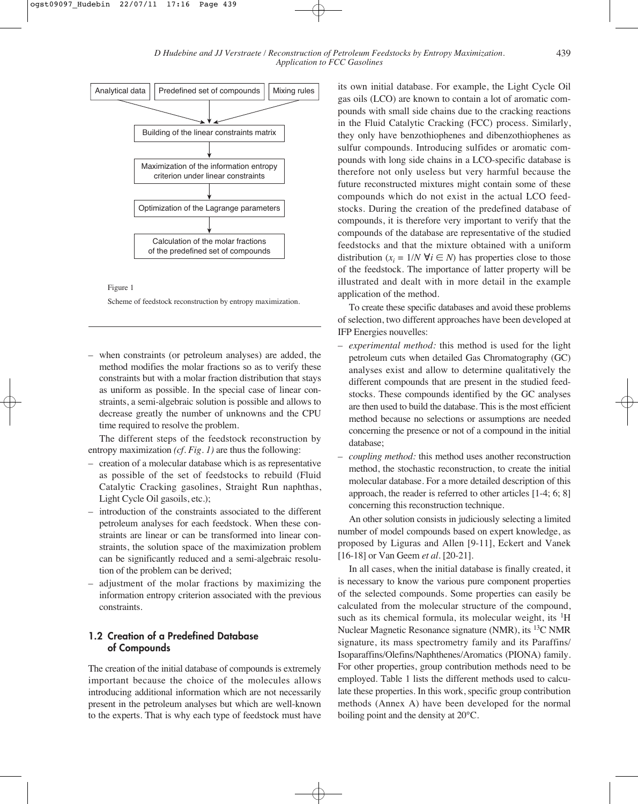

Figure 1

Scheme of feedstock reconstruction by entropy maximization.

– when constraints (or petroleum analyses) are added, the method modifies the molar fractions so as to verify these constraints but with a molar fraction distribution that stays as uniform as possible. In the special case of linear constraints, a semi-algebraic solution is possible and allows to decrease greatly the number of unknowns and the CPU time required to resolve the problem.

The different steps of the feedstock reconstruction by entropy maximization *(cf. Fig. 1)* are thus the following:

- creation of a molecular database which is as representative as possible of the set of feedstocks to rebuild (Fluid Catalytic Cracking gasolines, Straight Run naphthas, Light Cycle Oil gasoils, etc.);
- introduction of the constraints associated to the different petroleum analyses for each feedstock. When these constraints are linear or can be transformed into linear constraints, the solution space of the maximization problem can be significantly reduced and a semi-algebraic resolution of the problem can be derived;
- adjustment of the molar fractions by maximizing the information entropy criterion associated with the previous constraints.

## 1.2 Creation of a Predefined Database of Compounds

The creation of the initial database of compounds is extremely important because the choice of the molecules allows introducing additional information which are not necessarily present in the petroleum analyses but which are well-known to the experts. That is why each type of feedstock must have its own initial database. For example, the Light Cycle Oil gas oils (LCO) are known to contain a lot of aromatic compounds with small side chains due to the cracking reactions in the Fluid Catalytic Cracking (FCC) process. Similarly, they only have benzothiophenes and dibenzothiophenes as sulfur compounds. Introducing sulfides or aromatic compounds with long side chains in a LCO-specific database is therefore not only useless but very harmful because the future reconstructed mixtures might contain some of these compounds which do not exist in the actual LCO feedstocks. During the creation of the predefined database of compounds, it is therefore very important to verify that the compounds of the database are representative of the studied feedstocks and that the mixture obtained with a uniform distribution  $(x_i = 1/N \forall i \in N)$  has properties close to those of the feedstock. The importance of latter property will be illustrated and dealt with in more detail in the example application of the method.

To create these specific databases and avoid these problems of selection, two different approaches have been developed at IFP Energies nouvelles:

- *experimental method:* this method is used for the light petroleum cuts when detailed Gas Chromatography (GC) analyses exist and allow to determine qualitatively the different compounds that are present in the studied feedstocks. These compounds identified by the GC analyses are then used to build the database. This is the most efficient method because no selections or assumptions are needed concerning the presence or not of a compound in the initial database;
- *coupling method:* this method uses another reconstruction method, the stochastic reconstruction, to create the initial molecular database. For a more detailed description of this approach, the reader is referred to other articles [1-4; 6; 8] concerning this reconstruction technique.

An other solution consists in judiciously selecting a limited number of model compounds based on expert knowledge, as proposed by Liguras and Allen [9-11], Eckert and Vanek [16-18] or Van Geem *et al*. [20-21].

In all cases, when the initial database is finally created, it is necessary to know the various pure component properties of the selected compounds. Some properties can easily be calculated from the molecular structure of the compound, such as its chemical formula, its molecular weight, its  ${}^{1}H$ Nuclear Magnetic Resonance signature (NMR), its 13C NMR signature, its mass spectrometry family and its Paraffins/ Isoparaffins/Olefins/Naphthenes/Aromatics (PIONA) family. For other properties, group contribution methods need to be employed. Table 1 lists the different methods used to calculate these properties. In this work, specific group contribution methods (Annex A) have been developed for the normal boiling point and the density at 20°C.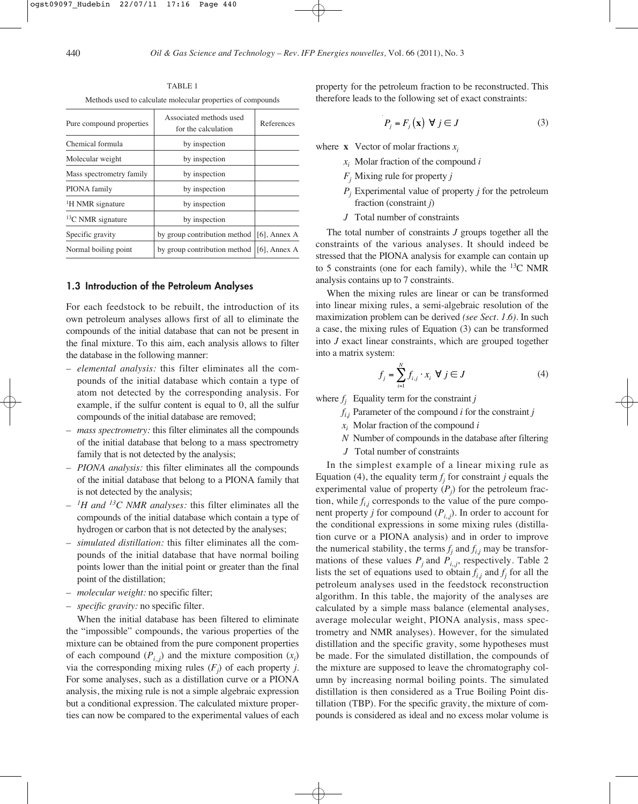TABLE 1 Methods used to calculate molecular properties of compounds

| Pure compound properties     | Associated methods used<br>for the calculation | References |
|------------------------------|------------------------------------------------|------------|
| Chemical formula             | by inspection                                  |            |
| Molecular weight             | by inspection                                  |            |
| Mass spectrometry family     | by inspection                                  |            |
| PIONA family                 | by inspection                                  |            |
| <sup>1</sup> H NMR signature | by inspection                                  |            |
| $13C$ NMR signature          | by inspection                                  |            |
| Specific gravity             | by group contribution method $  [6]$ , Annex A |            |
| Normal boiling point         | by group contribution method [6], Annex A      |            |
|                              |                                                |            |

#### 1.3 Introduction of the Petroleum Analyses

For each feedstock to be rebuilt, the introduction of its own petroleum analyses allows first of all to eliminate the compounds of the initial database that can not be present in the final mixture. To this aim, each analysis allows to filter the database in the following manner:

- *elemental analysis:* this filter eliminates all the compounds of the initial database which contain a type of atom not detected by the corresponding analysis. For example, if the sulfur content is equal to 0, all the sulfur compounds of the initial database are removed;
- *mass spectrometry:* this filter eliminates all the compounds of the initial database that belong to a mass spectrometry family that is not detected by the analysis;
- *PIONA analysis:* this filter eliminates all the compounds of the initial database that belong to a PIONA family that is not detected by the analysis;
- *– 1H and 13C NMR analyses:* this filter eliminates all the compounds of the initial database which contain a type of hydrogen or carbon that is not detected by the analyses;
- *simulated distillation:* this filter eliminates all the compounds of the initial database that have normal boiling points lower than the initial point or greater than the final point of the distillation;
- *molecular weight:* no specific filter;
- *specific gravity:* no specific filter.

When the initial database has been filtered to eliminate the "impossible" compounds, the various properties of the mixture can be obtained from the pure component properties of each compound  $(P_{i,j})$  and the mixture composition  $(x_i)$ via the corresponding mixing rules  $(F_j)$  of each property *j*. For some analyses, such as a distillation curve or a PIONA analysis, the mixing rule is not a simple algebraic expression but a conditional expression. The calculated mixture properties can now be compared to the experimental values of each property for the petroleum fraction to be reconstructed. This therefore leads to the following set of exact constraints:

$$
P_j = F_j(\mathbf{x}) \ \forall \ j \in J \tag{3}
$$

where **x** Vector of molar fractions  $x_i$ 

- *xi* Molar fraction of the compound *i*
- $F_i$  Mixing rule for property *j*
- *Pj* Experimental value of property *j* for the petroleum fraction (constraint *j*)
- *J* Total number of constraints

The total number of constraints *J* groups together all the constraints of the various analyses. It should indeed be stressed that the PIONA analysis for example can contain up to 5 constraints (one for each family), while the  $^{13}$ C NMR analysis contains up to 7 constraints.

When the mixing rules are linear or can be transformed into linear mixing rules, a semi-algebraic resolution of the maximization problem can be derived *(see Sect. 1.6)*. In such a case, the mixing rules of Equation (3) can be transformed into *J* exact linear constraints, which are grouped together into a matrix system:

$$
f_j = \sum_{i=1}^{N} f_{i,j} \cdot x_i \ \forall \ j \in J \tag{4}
$$

where  $f_i$  Equality term for the constraint *j* 

- $f_{i,j}$  Parameter of the compound *i* for the constraint *j*
- *xi* Molar fraction of the compound *i*
- *N* Number of compounds in the database after filtering
- *J* Total number of constraints

In the simplest example of a linear mixing rule as Equation (4), the equality term  $f_i$  for constraint  $j$  equals the experimental value of property  $(P_j)$  for the petroleum fraction, while  $f_{i,j}$  corresponds to the value of the pure component property *j* for compound  $(P_{i,j})$ . In order to account for the conditional expressions in some mixing rules (distillation curve or a PIONA analysis) and in order to improve the numerical stability, the terms  $f_i$  and  $f_{i,j}$  may be transformations of these values  $P_i$  and  $P_{i,j}$ , respectively. Table 2 lists the set of equations used to obtain  $f_{i,j}$  and  $f_j$  for all the petroleum analyses used in the feedstock reconstruction algorithm. In this table, the majority of the analyses are calculated by a simple mass balance (elemental analyses, average molecular weight, PIONA analysis, mass spectrometry and NMR analyses). However, for the simulated distillation and the specific gravity, some hypotheses must be made. For the simulated distillation, the compounds of the mixture are supposed to leave the chromatography column by increasing normal boiling points. The simulated distillation is then considered as a True Boiling Point distillation (TBP). For the specific gravity, the mixture of compounds is considered as ideal and no excess molar volume is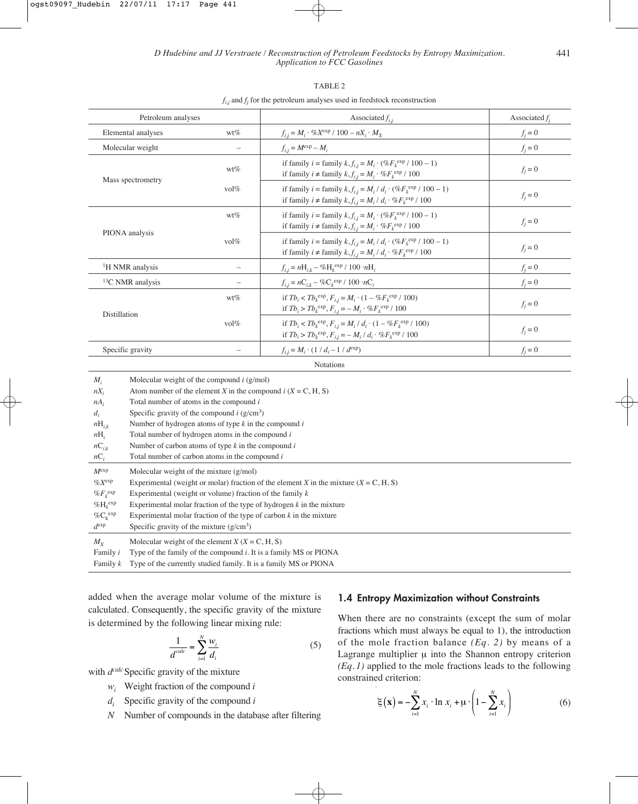#### *D Hudebine and JJ Verstraete / Reconstruction of Petroleum Feedstocks by Entropy Maximization. Application to FCC Gasolines*

#### TABLE 2

 $f_i$  and  $f_j$  for the petroleum analyses used in feedstock reconstruction

| Petroleum analyses                                                                                                                                        |                                                                                                                                                                                                                                                                                                                                                                                                                                                      | Associated $f_{i,j}$                                                                                                                                                                                                                      | Associated $f_i$ |
|-----------------------------------------------------------------------------------------------------------------------------------------------------------|------------------------------------------------------------------------------------------------------------------------------------------------------------------------------------------------------------------------------------------------------------------------------------------------------------------------------------------------------------------------------------------------------------------------------------------------------|-------------------------------------------------------------------------------------------------------------------------------------------------------------------------------------------------------------------------------------------|------------------|
| Elemental analyses                                                                                                                                        | wt%                                                                                                                                                                                                                                                                                                                                                                                                                                                  | $f_{i,j} = M_i \cdot \% X^{\exp} / 100 - nX_i \cdot M_X$                                                                                                                                                                                  | $f_i = 0$        |
| Molecular weight                                                                                                                                          |                                                                                                                                                                                                                                                                                                                                                                                                                                                      | $f_{i,j} = M^{\exp} - M_i$                                                                                                                                                                                                                | $f_i = 0$        |
| Mass spectrometry                                                                                                                                         | $wt\%$                                                                                                                                                                                                                                                                                                                                                                                                                                               | if family $i =$ family $k, f_{i,j} = M_i \cdot (\%F_k^{\exp}/100 - 1)$<br>if family $i \neq$ family $k, f_{i,j} = M_i \cdot \% F_k^{\exp}/100$                                                                                            | $f_i = 0$        |
|                                                                                                                                                           | $\mathrm{vol}\%$                                                                                                                                                                                                                                                                                                                                                                                                                                     | if family $i =$ family $k, f_{i,j} = M_i / d_i \cdot ( \% F_k^{\text{exp}} / 100 - 1 )$<br>if family $i \neq$ family $k, f_{i,j} = M_i / d_i \cdot \% F_k^{\text{exp}} / 100$                                                             | $f_i = 0$        |
|                                                                                                                                                           | wt%                                                                                                                                                                                                                                                                                                                                                                                                                                                  | if family $i =$ family $k, f_{i,j} = M_i \cdot (\%F_k^{\exp}/100 - 1)$<br>if family $i \neq$ family $k, f_{i,j} = M_i \cdot \% F_k^{\exp}/100$                                                                                            | $f_i = 0$        |
| PIONA analysis                                                                                                                                            | vol%                                                                                                                                                                                                                                                                                                                                                                                                                                                 | if family $i =$ family $k, f_{i,j} = M_i / d_i \cdot ( \% F_k^{\text{exp}} / 100 - 1)$<br>if family $i \neq$ family $k, f_{i,j} = M_i / d_i \cdot \% F_k^{\exp} / 100$                                                                    | $f_i = 0$        |
| <sup>1</sup> H NMR analysis                                                                                                                               | —                                                                                                                                                                                                                                                                                                                                                                                                                                                    | $f_{i,j} = nH_{i,k} - \%H_k^{\text{exp}} / 100 \cdot nH_i$                                                                                                                                                                                | $f_i = 0$        |
| ${}^{13}C$ NMR analysis                                                                                                                                   | $\overline{\phantom{0}}$                                                                                                                                                                                                                                                                                                                                                                                                                             | $f_{i,j} = nC_{i,k} - \%C_k^{\text{exp}} / 100 \cdot nC_i$                                                                                                                                                                                | $f_j = 0$        |
| $wt\%$<br>Distillation<br>$\mathrm{vol}\%$                                                                                                                |                                                                                                                                                                                                                                                                                                                                                                                                                                                      | if $Tb_i < Tb_k^{exp}, F_{i,j} = M_i \cdot (1 - \%F_k^{exp}/100)$<br>if $Tb_i > Tb_k^{exp}, F_{i,j} = -M_i \cdot \%F_k^{exp}/100$                                                                                                         | $f_i = 0$        |
|                                                                                                                                                           |                                                                                                                                                                                                                                                                                                                                                                                                                                                      | if $Tb_i < Tb_k^{exp}, F_{i,j} = M_i/d_i \cdot (1 - \%F_k^{exp}/100)$<br>if $Tb_i > Tb_k^{exp}, F_{i,j} = -M_i/d_i \cdot \%F_k^{exp}/100$                                                                                                 | $f_i = 0$        |
| $f_{i,j} = M_i \cdot (1 / d_i - 1 / d^{\exp})$<br>Specific gravity<br>$\overline{\phantom{0}}$                                                            |                                                                                                                                                                                                                                                                                                                                                                                                                                                      |                                                                                                                                                                                                                                           | $f_i = 0$        |
|                                                                                                                                                           |                                                                                                                                                                                                                                                                                                                                                                                                                                                      | <b>Notations</b>                                                                                                                                                                                                                          |                  |
| $M_i$<br>$nX_i$<br>$nA_i$<br>$d_i$<br>$nH_{ik}$<br>$nH_i$<br>$nC_{ik}$<br>$nC_i$                                                                          | Molecular weight of the compound $i$ (g/mol)<br>Atom number of the element X in the compound $i$ (X = C, H, S)<br>Total number of atoms in the compound $i$<br>Specific gravity of the compound $i$ (g/cm <sup>3</sup> )<br>Number of hydrogen atoms of type $k$ in the compound $i$<br>Total number of hydrogen atoms in the compound i<br>Number of carbon atoms of type $k$ in the compound $i$<br>Total number of carbon atoms in the compound i |                                                                                                                                                                                                                                           |                  |
| $M^{\rm exp}$<br>$\%X^{\exp}$<br>$\%F_k^{\text{exp}}$<br>$\%H_k^{\text{exp}}$<br>$\%C_k^{exp}$<br>$d^{\exp}$<br>Specific gravity of the mixture $(g/cm3)$ | Molecular weight of the mixture $(g/mol)$<br>Experimental (weight or volume) fraction of the family $k$                                                                                                                                                                                                                                                                                                                                              | Experimental (weight or molar) fraction of the element X in the mixture $(X = C, H, S)$<br>Experimental molar fraction of the type of hydrogen $k$ in the mixture<br>Experimental molar fraction of the type of carbon $k$ in the mixture |                  |
| $M_X$<br>Family i<br>Family k                                                                                                                             | Molecular weight of the element $X$ ( $X = C$ , H, S)                                                                                                                                                                                                                                                                                                                                                                                                | Type of the family of the compound <i>i</i> . It is a family MS or PIONA<br>Type of the currently studied family. It is a family MS or PIONA                                                                                              |                  |

added when the average molar volume of the mixture is calculated. Consequently, the specific gravity of the mixture is determined by the following linear mixing rule:

$$
\frac{1}{d^{calc}} = \sum_{i=1}^{N} \frac{w_i}{d_i} \tag{5}
$$

with  $d^{calc}$ Specific gravity of the mixture

- $w_i$  Weight fraction of the compound  $i$
- *di* Specific gravity of the compound *i*
- *N* Number of compounds in the database after filtering

#### 1.4 Entropy Maximization without Constraints

When there are no constraints (except the sum of molar fractions which must always be equal to 1), the introduction of the mole fraction balance *(Eq. 2)* by means of a Lagrange multiplier μ into the Shannon entropy criterion *(Eq. 1)* applied to the mole fractions leads to the following constrained criterion:

$$
\xi(\mathbf{x}) = -\sum_{i=1}^{N} x_i \cdot \ln x_i + \mu \cdot \left(1 - \sum_{i=1}^{N} x_i\right) \tag{6}
$$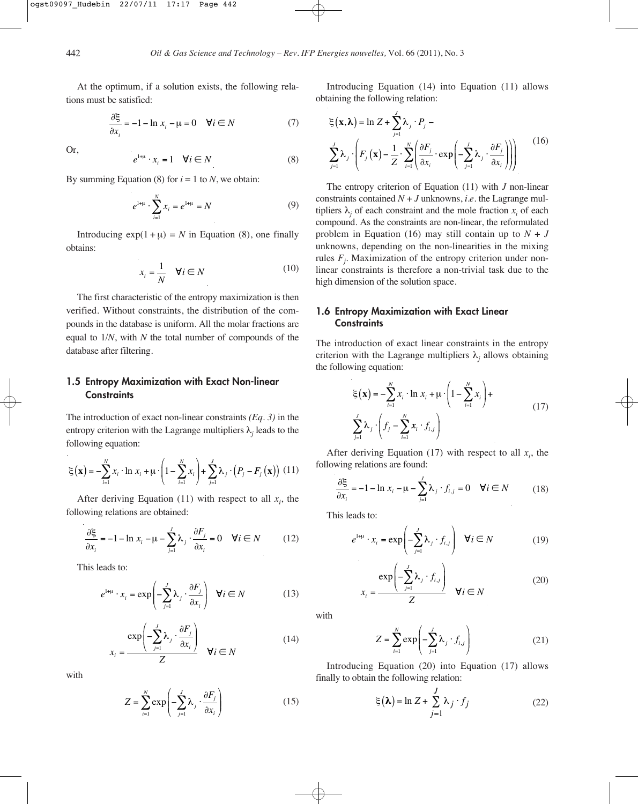(8)

At the optimum, if a solution exists, the following relations must be satisfied:

$$
\frac{\partial \xi}{\partial x_i} = -1 - \ln x_i - \mu = 0 \quad \forall i \in N \tag{7}
$$

Or,

$$
e^{1+\mu} \cdot x_i = 1 \quad \forall i \in N
$$

By summing Equation (8) for  $i = 1$  to *N*, we obtain:

$$
e^{1+\mu} \cdot \sum_{i=1}^{N} x_i = e^{1+\mu} = N \tag{9}
$$

Introducing  $exp(1 + \mu) = N$  in Equation (8), one finally obtains:

$$
x_i = \frac{1}{N} \quad \forall i \in N \tag{10}
$$

The first characteristic of the entropy maximization is then verified. Without constraints, the distribution of the compounds in the database is uniform. All the molar fractions are equal to 1/*N*, with *N* the total number of compounds of the database after filtering.

## 1.5 Entropy Maximization with Exact Non-linear **Constraints**

The introduction of exact non-linear constraints *(Eq. 3)* in the entropy criterion with the Lagrange multipliers  $\lambda_j$  leads to the following equation:

$$
\xi(\mathbf{x}) = -\sum_{i=1}^{N} x_i \cdot \ln x_i + \mu \cdot \left(1 - \sum_{i=1}^{N} x_i\right) + \sum_{j=1}^{J} \lambda_j \cdot \left(P_j - F_j\left(\mathbf{x}\right)\right) (11)
$$

After deriving Equation  $(11)$  with respect to all  $x_i$ , the following relations are obtained:

$$
\frac{\partial \xi}{\partial x_i} = -1 - \ln x_i - \mu - \sum_{j=1}^J \lambda_j \cdot \frac{\partial F_j}{\partial x_i} = 0 \quad \forall i \in \mathbb{N}
$$
 (12)

This leads to:

$$
e^{1+\mu} \cdot x_i = \exp\left(-\sum_{j=1}^J \lambda_j \cdot \frac{\partial F_j}{\partial x_i}\right) \quad \forall i \in N \tag{13}
$$

$$
x_i = \frac{\exp\left(-\sum_{j=1}^J \lambda_j \cdot \frac{\partial F_j}{\partial x_i}\right)}{Z} \quad \forall i \in \mathbb{N}
$$
 (14)

with

$$
Z = \sum_{i=1}^{N} \exp\left(-\sum_{j=1}^{J} \lambda_j \cdot \frac{\partial F_j}{\partial x_i}\right) \tag{15}
$$

Introducing Equation (14) into Equation (11) allows obtaining the following relation:

$$
\xi(\mathbf{x}, \lambda) = \ln Z + \sum_{j=1}^{J} \lambda_j \cdot P_j - \sum_{j=1}^{J} \sum_{j=1}^{J} \left( \frac{\partial F_j}{\partial x_i} \cdot \exp\left(-\sum_{j=1}^{J} \lambda_j \cdot \frac{\partial F_j}{\partial x_i}\right) \right)
$$
(16)

The entropy criterion of Equation (11) with *J* non-linear constraints contained  $N + J$  unknowns, *i.e.* the Lagrange multipliers  $\lambda_i$  of each constraint and the mole fraction  $x_i$  of each compound. As the constraints are non-linear, the reformulated problem in Equation (16) may still contain up to  $N + J$ unknowns, depending on the non-linearities in the mixing rules  $F_j$ . Maximization of the entropy criterion under nonlinear constraints is therefore a non-trivial task due to the high dimension of the solution space.

#### 1.6 Entropy Maximization with Exact Linear **Constraints**

The introduction of exact linear constraints in the entropy criterion with the Lagrange multipliers  $\lambda_i$  allows obtaining the following equation:

$$
\xi(\mathbf{x}) = -\sum_{i=1}^{N} x_i \cdot \ln x_i + \mu \cdot \left(1 - \sum_{i=1}^{N} x_i\right) +
$$
  

$$
\sum_{j=1}^{J} \lambda_j \cdot \left(f_j - \sum_{i=1}^{N} x_i \cdot f_{i,j}\right)
$$
 (17)

After deriving Equation (17) with respect to all  $x_i$ , the following relations are found:

$$
\frac{\partial \xi}{\partial x_i} = -1 - \ln x_i - \mu - \sum_{j=1}^J \lambda_j \cdot f_{i,j} = 0 \quad \forall i \in N \tag{18}
$$

This leads to:

$$
e^{1+\mu} \cdot x_i = \exp\left(-\sum_{j=1}^J \lambda_j \cdot f_{i,j}\right) \quad \forall i \in N \tag{19}
$$

$$
x_{i} = \frac{\exp\left(-\sum_{j=1}^{J} \lambda_{j} \cdot f_{i,j}\right)}{Z} \quad \forall i \in N
$$
 (20)

with

$$
Z = \sum_{i=1}^{N} \exp\left(-\sum_{j=1}^{J} \lambda_j \cdot f_{i,j}\right)
$$
 (21)

Introducing Equation (20) into Equation (17) allows finally to obtain the following relation:

$$
\xi(\lambda) = \ln Z + \sum_{j=1}^{J} \lambda_j \cdot f_j
$$
 (22)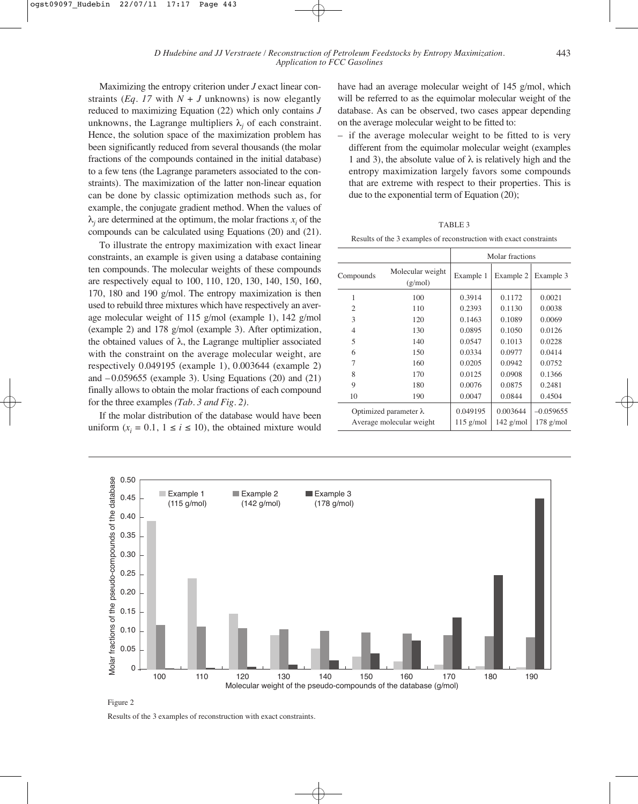Maximizing the entropy criterion under *J* exact linear constraints (*Eq. 17* with  $N + J$  unknowns) is now elegantly reduced to maximizing Equation (22) which only contains *J* unknowns, the Lagrange multipliers  $\lambda_i$  of each constraint. Hence, the solution space of the maximization problem has been significantly reduced from several thousands (the molar fractions of the compounds contained in the initial database) to a few tens (the Lagrange parameters associated to the constraints). The maximization of the latter non-linear equation can be done by classic optimization methods such as, for example, the conjugate gradient method. When the values of  $\lambda_i$  are determined at the optimum, the molar fractions  $x_i$  of the compounds can be calculated using Equations (20) and (21).

To illustrate the entropy maximization with exact linear constraints, an example is given using a database containing ten compounds. The molecular weights of these compounds are respectively equal to 100, 110, 120, 130, 140, 150, 160, 170, 180 and 190 g/mol. The entropy maximization is then used to rebuild three mixtures which have respectively an average molecular weight of 115 g/mol (example 1), 142 g/mol (example 2) and 178 g/mol (example 3). After optimization, the obtained values of  $\lambda$ , the Lagrange multiplier associated with the constraint on the average molecular weight, are respectively 0.049195 (example 1), 0.003644 (example 2) and  $-0.059655$  (example 3). Using Equations (20) and (21) finally allows to obtain the molar fractions of each compound for the three examples *(Tab. 3 and Fig. 2)*.

If the molar distribution of the database would have been uniform  $(x<sub>i</sub> = 0.1, 1 \le i \le 10)$ , the obtained mixture would have had an average molecular weight of 145 g/mol, which will be referred to as the equimolar molecular weight of the database. As can be observed, two cases appear depending on the average molecular weight to be fitted to:

– if the average molecular weight to be fitted to is very different from the equimolar molecular weight (examples 1 and 3), the absolute value of  $\lambda$  is relatively high and the entropy maximization largely favors some compounds that are extreme with respect to their properties. This is due to the exponential term of Equation (20);

|  | $\sim$ |
|--|--------|
|--|--------|

|                |                                                           | Molar fractions         |                         |                            |
|----------------|-----------------------------------------------------------|-------------------------|-------------------------|----------------------------|
| Compounds      | Molecular weight<br>(g/mol)                               | Example 1               | Example 2               | Example 3                  |
| 1              | 100                                                       | 0.3914                  | 0.1172                  | 0.0021                     |
| $\overline{c}$ | 110                                                       | 0.2393                  | 0.1130                  | 0.0038                     |
| 3              | 120                                                       | 0.1463                  | 0.1089                  | 0.0069                     |
| $\overline{4}$ | 130                                                       | 0.0895                  | 0.1050                  | 0.0126                     |
| 5              | 140                                                       | 0.0547                  | 0.1013                  | 0.0228                     |
| 6              | 150                                                       | 0.0334                  | 0.0977                  | 0.0414                     |
| 7              | 160                                                       | 0.0205                  | 0.0942                  | 0.0752                     |
| 8              | 170                                                       | 0.0125                  | 0.0908                  | 0.1366                     |
| $\mathbf Q$    | 180                                                       | 0.0076                  | 0.0875                  | 0.2481                     |
| 10             | 190                                                       | 0.0047                  | 0.0844                  | 0.4504                     |
|                | Optimized parameter $\lambda$<br>Average molecular weight | 0.049195<br>$115$ g/mol | 0.003644<br>$142$ g/mol | $-0.059655$<br>$178$ g/mol |



Figure 2

Results of the 3 examples of reconstruction with exact constraints.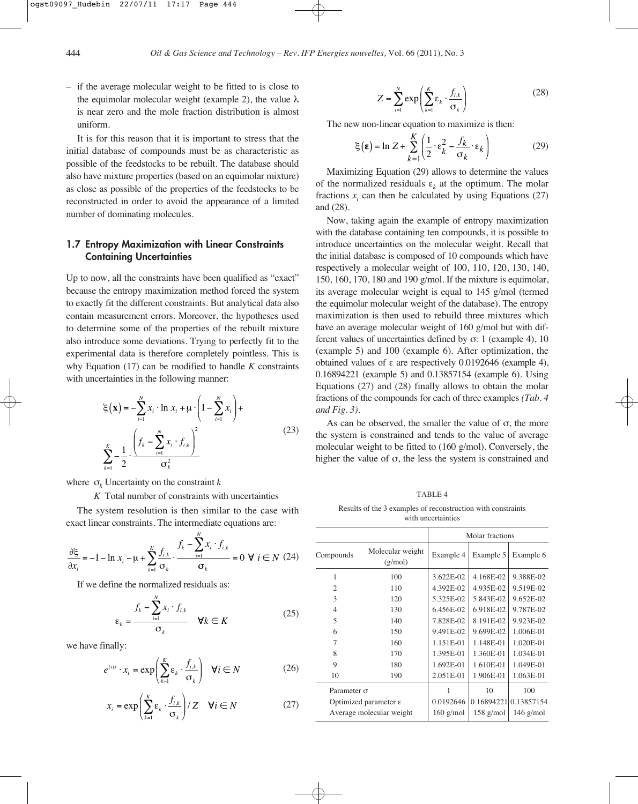– if the average molecular weight to be fitted to is close to the equimolar molecular weight (example 2), the value  $\lambda$ is near zero and the mole fraction distribution is almost uniform.

It is for this reason that it is important to stress that the initial database of compounds must be as characteristic as possible of the feedstocks to be rebuilt. The database should also have mixture properties (based on an equimolar mixture) as close as possible of the properties of the feedstocks to be reconstructed in order to avoid the appearance of a limited number of dominating molecules.

#### 1.7 Entropy Maximization with Linear Constraints Containing Uncertainties

Up to now, all the constraints have been qualified as "exact" because the entropy maximization method forced the system to exactly fit the different constraints. But analytical data also contain measurement errors. Moreover, the hypotheses used to determine some of the properties of the rebuilt mixture also introduce some deviations. Trying to perfectly fit to the experimental data is therefore completely pointless. This is why Equation (17) can be modified to handle *K* constraints with uncertainties in the following manner:

$$
\xi(\mathbf{x}) = -\sum_{i=1}^{N} x_i \cdot \ln x_i + \mu \cdot \left(1 - \sum_{i=1}^{N} x_i\right) + \sum_{k=1}^{K} -\frac{1}{2} \cdot \frac{\left(f_k - \sum_{i=1}^{N} x_i \cdot f_{i,k}\right)^2}{\sigma_k^2}
$$
\n(23)

where  $\sigma_k$  Uncertainty on the constraint *k* 

*K* Total number of constraints with uncertainties

The system resolution is then similar to the case with exact linear constraints. The intermediate equations are:

$$
\frac{\partial \xi}{\partial x_i} = -1 - \ln x_i - \mu + \sum_{k=1}^K \frac{f_{i,k}}{\sigma_k} \cdot \frac{f_k - \sum_{i=1}^N x_i \cdot f_{i,k}}{\sigma_k} = 0 \ \forall \ i \in N \ (24)
$$

If we define the normalized residuals as:

$$
\varepsilon_{k} = \frac{f_{k} - \sum_{i=1}^{N} x_{i} \cdot f_{i,k}}{\sigma_{k}} \quad \forall k \in K
$$
 (25)

we have finally:

$$
e^{1+\mu} \cdot x_i = \exp\left(\sum_{k=1}^{K} \varepsilon_k \cdot \frac{f_{i,k}}{\sigma_k}\right) \quad \forall i \in \mathbb{N}
$$
 (26)

$$
x_i = \exp\left(\sum_{k=1}^{K} \varepsilon_k \cdot \frac{f_{i,k}}{\sigma_k}\right) / Z \quad \forall i \in \mathbb{N} \tag{27}
$$

$$
Z = \sum_{i=1}^{N} \exp\left(\sum_{k=1}^{K} \varepsilon_k \cdot \frac{f_{i,k}}{\sigma_k}\right)
$$
 (28)

The new non-linear equation to maximize is then:

$$
\xi(\varepsilon) = \ln Z + \sum_{k=1}^{K} \left( \frac{1}{2} \cdot \varepsilon_k^2 - \frac{f_k}{\sigma_k} \cdot \varepsilon_k \right)
$$
(29)

Maximizing Equation (29) allows to determine the values of the normalized residuals  $\varepsilon_k$  at the optimum. The molar fractions  $x_i$  can then be calculated by using Equations  $(27)$ and (28).

Now, taking again the example of entropy maximization with the database containing ten compounds, it is possible to introduce uncertainties on the molecular weight. Recall that the initial database is composed of 10 compounds which have respectively a molecular weight of 100, 110, 120, 130, 140, 150, 160, 170, 180 and 190 g/mol. If the mixture is equimolar, its average molecular weight is equal to 145 g/mol (termed the equimolar molecular weight of the database). The entropy maximization is then used to rebuild three mixtures which have an average molecular weight of 160 g/mol but with different values of uncertainties defined by σ: 1 (example 4), 10 (example 5) and 100 (example 6). After optimization, the obtained values of ε are respectively 0.0192646 (example 4), 0.16894221 (example 5) and 0.13857154 (example 6). Using Equations (27) and (28) finally allows to obtain the molar fractions of the compounds for each of three examples *(Tab. 4 and Fig. 3)*.

As can be observed, the smaller the value of σ, the more the system is constrained and tends to the value of average molecular weight to be fitted to (160 g/mol). Conversely, the higher the value of σ, the less the system is constrained and

TABLE 4

Results of the 3 examples of reconstruction with constraints with uncertainties

|                             |                             | Molar fractions |                  |                   |
|-----------------------------|-----------------------------|-----------------|------------------|-------------------|
| Compounds                   | Molecular weight<br>(g/mol) | Example 4       | Example 5        | Example 6         |
| 1                           | 100                         | 3.622E-02       | 4.168E-02        | 9.388E-02         |
| $\mathcal{D}_{\mathcal{L}}$ | 110                         | 4.392E-02       | 4.935E-02        | 9.519E-02         |
| $\mathcal{F}$               | 120                         | 5.325E-02       | 5.843E-02        | 9.652E-02         |
| $\overline{4}$              | 130                         | 6.456E-02       | 6.918E-02        | 9.787E-02         |
| 5                           | 140                         | 7.828E-02       | 8.191E-02        | 9.923E-02         |
| 6                           | 150                         | 9.491E-02       | 9.699E-02        | 1.006E-01         |
| 7                           | 160                         | 1.151E-01       | 1.148E-01        | 1.020E-01         |
| 8                           | 170                         | 1.395E-01       | 1.360E-01        | 1.034E-01         |
| 9                           | 180                         | 1.692E-01       | 1.610E-01        | 1.049E-01         |
| 10                          | 190                         | 2.051E-01       | 1.906E-01        | 1.063E-01         |
| Parameter o                 | Optimized parameter ε       | 0.0192646       | 10<br>0.16894221 | 100<br>0.13857154 |
| Average molecular weight    |                             | $160$ g/mol     | $158$ g/mol      | $146$ g/mol       |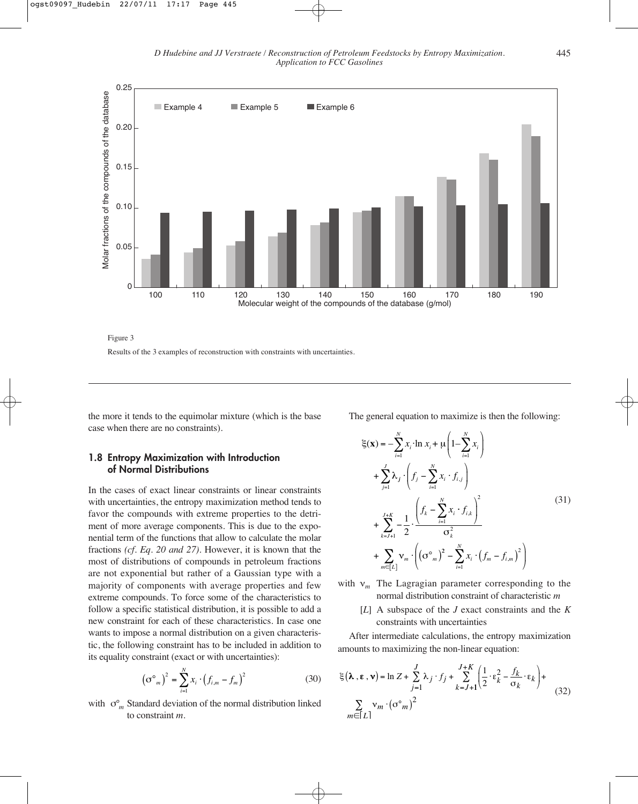

Figure 3

Results of the 3 examples of reconstruction with constraints with uncertainties.

the more it tends to the equimolar mixture (which is the base case when there are no constraints).

#### 1.8 Entropy Maximization with Introduction of Normal Distributions

In the cases of exact linear constraints or linear constraints with uncertainties, the entropy maximization method tends to favor the compounds with extreme properties to the detriment of more average components. This is due to the exponential term of the functions that allow to calculate the molar fractions *(cf. Eq. 20 and 27)*. However, it is known that the most of distributions of compounds in petroleum fractions are not exponential but rather of a Gaussian type with a majority of components with average properties and few extreme compounds. To force some of the characteristics to follow a specific statistical distribution, it is possible to add a new constraint for each of these characteristics. In case one wants to impose a normal distribution on a given characteristic, the following constraint has to be included in addition to its equality constraint (exact or with uncertainties):

$$
\left(\sigma_{m}^{o}\right)^{2} = \sum_{i=1}^{N} x_{i} \cdot \left(f_{i,m} - f_{m}\right)^{2}
$$
 (30)

with  $\sigma_m^{\circ}$  Standard deviation of the normal distribution linked to constraint *m*.

(31)  $\xi(\mathbf{x}) = -\sum_{i=1}^{N} x_i \cdot \ln x_i + \mu$  $+\sum \lambda_j \cdot |f_j - \sum x_i \cdot f_{i,j}$ ⎝  $\left(1-\sum_{i=1}^{N}x_{i}\right)$ ⎠  $\overline{\phantom{a}}$  $\sum_{i=1}^n x_i \cdot \ln x_i + \mu \left(1 - \sum_{i=1}^n x_i\right)$ *N*  $i^{\mu}$ <sup>*i*</sup>  $\left\{ \frac{\lambda}{\mu} \right\}$ *i N*  $-1$   $i=1$  $\cdot$ ln  $x_i$  +  $\mu$ | 1– *i N j*  $\sum_{i=1}^{J} \lambda_i \cdot \left( f_i - \sum_{i=1}^{N} x_i \cdot f_i \right)$  $f_k - \sum x_i$  $\sqrt{2}$ ⎝  $\left(f_i - \sum_{i=1}^{N} x_i \cdot f_{i,j}\right)$ ⎠  $\overline{\phantom{a}}$ +  $\sum -\frac{1}{2}$ . −  $\sum_{j=1} \lambda_j \cdot \left(f_j - \sum_{i=1} x_i \cdot f_{i,j}\right)$  $+\sum_{k=1+1}^{J+K} -\frac{1}{2}$  $\left(f_k - \sum_{i=1}^{N} x_i\right)$ ⎝  $\left(f_k - \sum_{i=1}^{N} x_i \cdot f_{i,k}\right)$ ⎠  $\overline{\phantom{a}}$  $+ \sum_{m} \mathbf{v}_{m} \cdot \left( (\sigma^{\circ}_{m})^{2} - \sum_{m} x_{i} \cdot (f_{m} - f_{i,m})^{2} \right)$  $\sum_{i=1}^{k+K}$   $1 \left( f_k - \sum_{i=1}^{K} f_i \right)$  $= J +$ ∑  $f_{i,k}$ *i N*  $k = J + 1$   $\sim$   $\bullet$   $k$  $J+K$  1  $Jk$   $\Delta^{x_i} Ji$ 1 2  $\frac{1}{4}$  2  $\sigma_k^2$ 1  $\left( (\sigma_{m}^{\circ})^{2} - \sum_{i=1}^{N} x_{i} \cdot (f_{m} - f_{i,m}) \right)$ ⎝  $\left(\left(\sigma_{m}^{\circ}\right)^{2}-\sum_{i=1}^{N}x_{i}\cdot\left(f_{m}-f_{i,m}\right)^{2}\right)$ ⎠  $\overline{\phantom{a}}$  $\sum_{n\in[L]} \mathsf{v}_m \cdot \left( (\sigma\textsuperscript{\circ} n)^2 - \sum_{i=1} x_i \cdot \left( f_m - f_{i,m} \right) \right)$ *N*  $m \in L$ ,

with  $v_m$  The Lagragian parameter corresponding to the normal distribution constraint of characteristic *m*

[*L*] A subspace of the *J* exact constraints and the *K* constraints with uncertainties

After intermediate calculations, the entropy maximization amounts to maximizing the non-linear equation:

$$
\xi(\lambda, \varepsilon, \mathbf{v}) = \ln Z + \sum_{j=1}^{J} \lambda_j \cdot f_j + \sum_{k=J+1}^{J+K} \left( \frac{1}{2} \cdot \varepsilon_k^2 - \frac{f_k}{\sigma_k} \cdot \varepsilon_k \right) +
$$
  

$$
\sum_{m \in [L]} v_m \cdot (\sigma^{\circ}_m)^2
$$
 (32)

The general equation to maximize is then the following: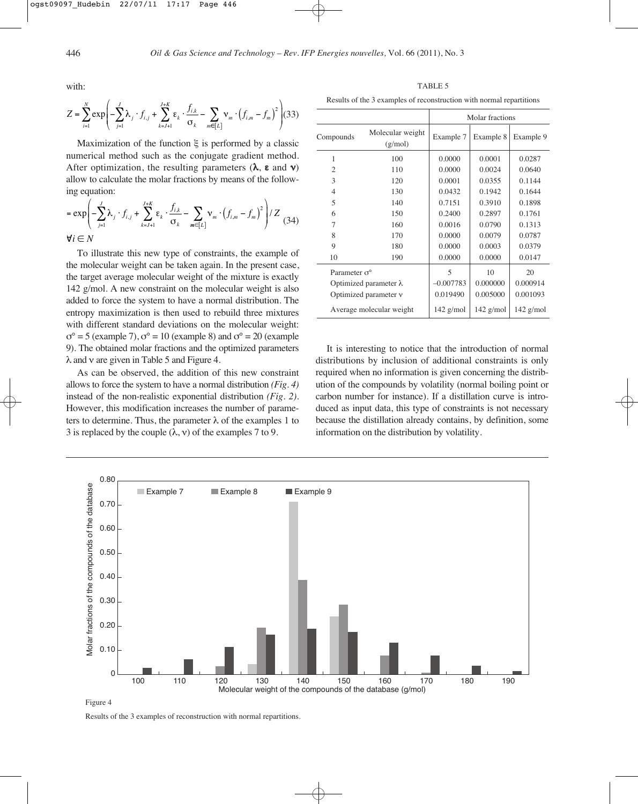with:

$$
Z = \sum_{i=1}^{N} \exp \left(-\sum_{j=1}^{J} \lambda_{j} \cdot f_{i,j} + \sum_{k=J+1}^{J+K} \varepsilon_{k} \cdot \frac{f_{i,k}}{\sigma_{k}} - \sum_{m \in [L]} \nu_{m} \cdot (f_{i,m} - f_{m})^{2}\right)
$$
(33)

Maximization of the function ξ is performed by a classic numerical method such as the conjugate gradient method. After optimization, the resulting parameters  $(\lambda, \varepsilon)$  and  $\nu$ ) allow to calculate the molar fractions by means of the following equation:

$$
= \exp\left(-\sum_{j=1}^{J} \lambda_j \cdot f_{i,j} + \sum_{k=J+1}^{J+K} \varepsilon_k \cdot \frac{f_{i,k}}{\sigma_k} - \sum_{m \in [L]} \nu_m \cdot (f_{i,m} - f_m)^2\right) / Z
$$
(34)  

$$
\forall i \in N
$$

To illustrate this new type of constraints, the example of the molecular weight can be taken again. In the present case, the target average molecular weight of the mixture is exactly 142 g/mol. A new constraint on the molecular weight is also added to force the system to have a normal distribution. The entropy maximization is then used to rebuild three mixtures with different standard deviations on the molecular weight:  $\sigma^{\circ} = 5$  (example 7),  $\sigma^{\circ} = 10$  (example 8) and  $\sigma^{\circ} = 20$  (example 9). The obtained molar fractions and the optimized parameters λ and ν are given in Table 5 and Figure 4.

As can be observed, the addition of this new constraint allows to force the system to have a normal distribution *(Fig. 4)* instead of the non-realistic exponential distribution *(Fig. 2)*. However, this modification increases the number of parameters to determine. Thus, the parameter  $\lambda$  of the examples 1 to 3 is replaced by the couple  $(\lambda, v)$  of the examples 7 to 9.

TABLE 5 Results of the 3 examples of reconstruction with normal repartitions

|                               |                             | Molar fractions |             |             |
|-------------------------------|-----------------------------|-----------------|-------------|-------------|
| Compounds                     | Molecular weight<br>(g/mol) | Example 7       | Example 8   | Example 9   |
| 1                             | 100                         | 0.0000          | 0.0001      | 0.0287      |
| $\overline{c}$                | 110                         | 0.0000          | 0.0024      | 0.0640      |
| 3                             | 120                         | 0.0001          | 0.0355      | 0.1144      |
| $\overline{4}$                | 130                         | 0.0432          | 0.1942      | 0.1644      |
| 5                             | 140                         | 0.7151          | 0.3910      | 0.1898      |
| 6                             | 150                         | 0.2400          | 0.2897      | 0.1761      |
| 7                             | 160                         | 0.0016          | 0.0790      | 0.1313      |
| 8                             | 170                         | 0.0000          | 0.0079      | 0.0787      |
| $\mathbf Q$                   | 180                         | 0.0000          | 0.0003      | 0.0379      |
| 10                            | 190                         | 0.0000          | 0.0000      | 0.0147      |
| Parameter $\sigma$ °          |                             | 5               | 10          | 20          |
| Optimized parameter $\lambda$ |                             | $-0.007783$     | 0.000000    | 0.000914    |
| Optimized parameter v         |                             | 0.019490        | 0.005000    | 0.001093    |
| Average molecular weight      |                             | $142$ g/mol     | $142$ g/mol | $142$ g/mol |

It is interesting to notice that the introduction of normal distributions by inclusion of additional constraints is only required when no information is given concerning the distribution of the compounds by volatility (normal boiling point or carbon number for instance). If a distillation curve is introduced as input data, this type of constraints is not necessary because the distillation already contains, by definition, some information on the distribution by volatility.



Figure 4

Results of the 3 examples of reconstruction with normal repartitions.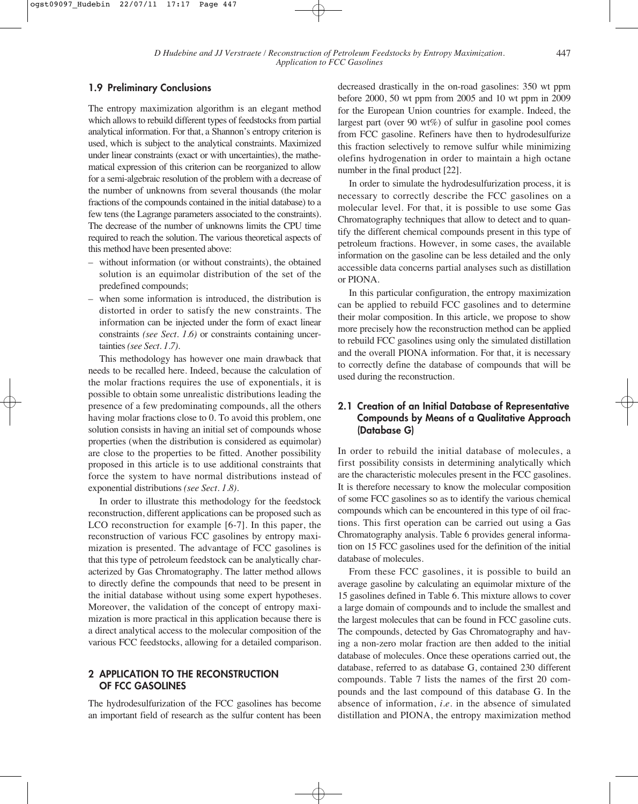#### 1.9 Preliminary Conclusions

The entropy maximization algorithm is an elegant method which allows to rebuild different types of feedstocks from partial analytical information. For that, a Shannon's entropy criterion is used, which is subject to the analytical constraints. Maximized under linear constraints (exact or with uncertainties), the mathematical expression of this criterion can be reorganized to allow for a semi-algebraic resolution of the problem with a decrease of the number of unknowns from several thousands (the molar fractions of the compounds contained in the initial database) to a few tens (the Lagrange parameters associated to the constraints). The decrease of the number of unknowns limits the CPU time required to reach the solution. The various theoretical aspects of this method have been presented above:

- without information (or without constraints), the obtained solution is an equimolar distribution of the set of the predefined compounds;
- when some information is introduced, the distribution is distorted in order to satisfy the new constraints. The information can be injected under the form of exact linear constraints *(see Sect. 1.6)* or constraints containing uncertainties *(see Sect. 1.7)*.

This methodology has however one main drawback that needs to be recalled here. Indeed, because the calculation of the molar fractions requires the use of exponentials, it is possible to obtain some unrealistic distributions leading the presence of a few predominating compounds, all the others having molar fractions close to 0. To avoid this problem, one solution consists in having an initial set of compounds whose properties (when the distribution is considered as equimolar) are close to the properties to be fitted. Another possibility proposed in this article is to use additional constraints that force the system to have normal distributions instead of exponential distributions *(see Sect. 1.8)*.

In order to illustrate this methodology for the feedstock reconstruction, different applications can be proposed such as LCO reconstruction for example [6-7]. In this paper, the reconstruction of various FCC gasolines by entropy maximization is presented. The advantage of FCC gasolines is that this type of petroleum feedstock can be analytically characterized by Gas Chromatography. The latter method allows to directly define the compounds that need to be present in the initial database without using some expert hypotheses. Moreover, the validation of the concept of entropy maximization is more practical in this application because there is a direct analytical access to the molecular composition of the various FCC feedstocks, allowing for a detailed comparison.

#### 2 APPLICATION TO THE RECONSTRUCTION OF FCC GASOLINES

The hydrodesulfurization of the FCC gasolines has become an important field of research as the sulfur content has been decreased drastically in the on-road gasolines: 350 wt ppm before 2000, 50 wt ppm from 2005 and 10 wt ppm in 2009 for the European Union countries for example. Indeed, the largest part (over 90 wt%) of sulfur in gasoline pool comes from FCC gasoline. Refiners have then to hydrodesulfurize this fraction selectively to remove sulfur while minimizing olefins hydrogenation in order to maintain a high octane number in the final product [22].

In order to simulate the hydrodesulfurization process, it is necessary to correctly describe the FCC gasolines on a molecular level. For that, it is possible to use some Gas Chromatography techniques that allow to detect and to quantify the different chemical compounds present in this type of petroleum fractions. However, in some cases, the available information on the gasoline can be less detailed and the only accessible data concerns partial analyses such as distillation or PIONA.

In this particular configuration, the entropy maximization can be applied to rebuild FCC gasolines and to determine their molar composition. In this article, we propose to show more precisely how the reconstruction method can be applied to rebuild FCC gasolines using only the simulated distillation and the overall PIONA information. For that, it is necessary to correctly define the database of compounds that will be used during the reconstruction.

## 2.1 Creation of an Initial Database of Representative Compounds by Means of a Qualitative Approach (Database G)

In order to rebuild the initial database of molecules, a first possibility consists in determining analytically which are the characteristic molecules present in the FCC gasolines. It is therefore necessary to know the molecular composition of some FCC gasolines so as to identify the various chemical compounds which can be encountered in this type of oil fractions. This first operation can be carried out using a Gas Chromatography analysis. Table 6 provides general information on 15 FCC gasolines used for the definition of the initial database of molecules.

From these FCC gasolines, it is possible to build an average gasoline by calculating an equimolar mixture of the 15 gasolines defined in Table 6. This mixture allows to cover a large domain of compounds and to include the smallest and the largest molecules that can be found in FCC gasoline cuts. The compounds, detected by Gas Chromatography and having a non-zero molar fraction are then added to the initial database of molecules. Once these operations carried out, the database, referred to as database G, contained 230 different compounds. Table 7 lists the names of the first 20 compounds and the last compound of this database G. In the absence of information, *i*.*e*. in the absence of simulated distillation and PIONA, the entropy maximization method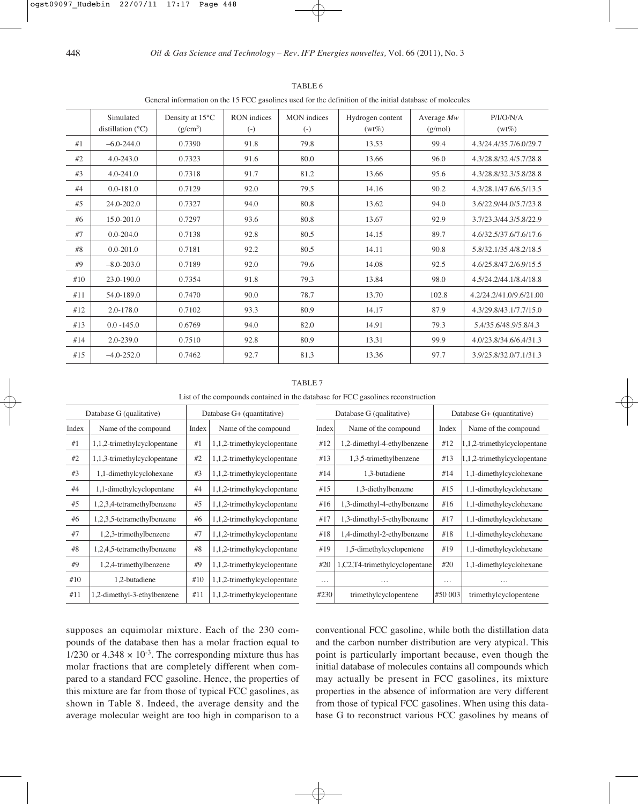|     | General information on the 15 FCC gasolines used for the definition of the initial database of molecules |                               |                             |                             |                              |                         |                         |
|-----|----------------------------------------------------------------------------------------------------------|-------------------------------|-----------------------------|-----------------------------|------------------------------|-------------------------|-------------------------|
|     | Simulated<br>distillation $(^{\circ}C)$                                                                  | Density at 15°C<br>$(g/cm^3)$ | <b>RON</b> indices<br>$(-)$ | <b>MON</b> indices<br>$(-)$ | Hydrogen content<br>$(wt\%)$ | Average $Mw$<br>(g/mol) | P/I/O/N/A<br>$(wt\%)$   |
| #1  | $-6.0 - 244.0$                                                                                           | 0.7390                        | 91.8                        | 79.8                        | 13.53                        | 99.4                    | 4.3/24.4/35.7/6.0/29.7  |
| #2  | $4.0 - 243.0$                                                                                            | 0.7323                        | 91.6                        | 80.0                        | 13.66                        | 96.0                    | 4.3/28.8/32.4/5.7/28.8  |
| #3  | $4.0 - 241.0$                                                                                            | 0.7318                        | 91.7                        | 81.2                        | 13.66                        | 95.6                    | 4.3/28.8/32.3/5.8/28.8  |
| #4  | $0.0 - 181.0$                                                                                            | 0.7129                        | 92.0                        | 79.5                        | 14.16                        | 90.2                    | 4.3/28.1/47.6/6.5/13.5  |
| #5  | 24.0-202.0                                                                                               | 0.7327                        | 94.0                        | 80.8                        | 13.62                        | 94.0                    | 3.6/22.9/44.0/5.7/23.8  |
| #6  | 15.0-201.0                                                                                               | 0.7297                        | 93.6                        | 80.8                        | 13.67                        | 92.9                    | 3.7/23.3/44.3/5.8/22.9  |
| #7  | $0.0 - 204.0$                                                                                            | 0.7138                        | 92.8                        | 80.5                        | 14.15                        | 89.7                    | 4.6/32.5/37.6/7.6/17.6  |
| #8  | $0.0 - 201.0$                                                                                            | 0.7181                        | 92.2                        | 80.5                        | 14.11                        | 90.8                    | 5.8/32.1/35.4/8.2/18.5  |
| #9  | $-8.0 - 203.0$                                                                                           | 0.7189                        | 92.0                        | 79.6                        | 14.08                        | 92.5                    | 4.6/25.8/47.2/6.9/15.5  |
| #10 | 23.0-190.0                                                                                               | 0.7354                        | 91.8                        | 79.3                        | 13.84                        | 98.0                    | 4.5/24.2/44.1/8.4/18.8  |
| #11 | 54.0-189.0                                                                                               | 0.7470                        | 90.0                        | 78.7                        | 13.70                        | 102.8                   | 4.2/24.2/41.0/9.6/21.00 |
| #12 | 2.0-178.0                                                                                                | 0.7102                        | 93.3                        | 80.9                        | 14.17                        | 87.9                    | 4.3/29.8/43.1/7.7/15.0  |
| #13 | $0.0 - 145.0$                                                                                            | 0.6769                        | 94.0                        | 82.0                        | 14.91                        | 79.3                    | 5.4/35.6/48.9/5.8/4.3   |
| #14 | $2.0 - 239.0$                                                                                            | 0.7510                        | 92.8                        | 80.9                        | 13.31                        | 99.9                    | 4.0/23.8/34.6/6.4/31.3  |
| #15 | $-4.0 - 252.0$                                                                                           | 0.7462                        | 92.7                        | 81.3                        | 13.36                        | 97.7                    | 3.9/25.8/32.0/7.1/31.3  |

TABLE 6

General information on the 15 FCC gasolines used for the definition of the initial database of molecules

#### TABLE 7

List of the compounds contained in the database for FCC gasolines reconstruction

| Database G (qualitative) |                             | Database G+ (quantitative) |                             |
|--------------------------|-----------------------------|----------------------------|-----------------------------|
| <b>Index</b>             | Name of the compound        | Index                      | Name of the compound        |
| #1                       | 1,1,2-trimethylcyclopentane | #1                         | 1,1,2-trimethylcyclopentane |
| #2                       | 1,1,3-trimethylcyclopentane | #2                         | 1,1,2-trimethylcyclopentane |
| #3                       | 1,1-dimethylcyclohexane     | #3                         | 1,1,2-trimethylcyclopentane |
| #4                       | 1,1-dimethylcyclopentane    | #4                         | 1,1,2-trimethylcyclopentane |
| #5                       | 1,2,3,4-tetramethylbenzene  | #5                         | 1,1,2-trimethylcyclopentane |
| #6                       | 1,2,3,5-tetramethylbenzene  | #6                         | 1,1,2-trimethylcyclopentane |
| #7                       | 1,2,3-trimethylbenzene      | #7                         | 1,1,2-trimethylcyclopentane |
| #8                       | 1,2,4,5-tetramethylbenzene  | #8                         | 1,1,2-trimethylcyclopentane |
| #9                       | 1,2,4-trimethylbenzene      | #9                         | 1,1,2-trimethylcyclopentane |
| #10                      | 1,2-butadiene               | #10                        | 1,1,2-trimethylcyclopentane |
| #11                      | 1,2-dimethyl-3-ethylbenzene | #11                        | 1,1,2-trimethylcyclopentane |
|                          |                             |                            |                             |

| Database G (qualitative) |                               | Database G+ (quantitative) |                             |
|--------------------------|-------------------------------|----------------------------|-----------------------------|
| Index                    | Name of the compound          | Index                      | Name of the compound        |
| #12                      | 1,2-dimethyl-4-ethylbenzene   | #12                        | 1,1,2-trimethylcyclopentane |
| #13                      | 1,3,5-trimethylbenzene        | #13                        | 1,1,2-trimethylcyclopentane |
| #14                      | 1,3-butadiene                 | #14                        | 1,1-dimethylcyclohexane     |
| #15                      | 1,3-diethylbenzene            | #15                        | 1,1-dimethylcyclohexane     |
| #16                      | 1,3-dimethyl-4-ethylbenzene   | #16                        | 1,1-dimethylcyclohexane     |
| #17                      | 1,3-dimethyl-5-ethylbenzene   | #17                        | 1,1-dimethylcyclohexane     |
| #18                      | 1,4-dimethyl-2-ethylbenzene   | #18                        | 1,1-dimethylcyclohexane     |
| #19                      | 1,5-dimethylcyclopentene      | #19                        | 1,1-dimethylcyclohexane     |
| #20                      | 1,C2,T4-trimethylcyclopentane | #20                        | 1,1-dimethylcyclohexane     |
| .                        | .                             | .                          | .                           |
| #230                     | trimethylcyclopentene         | #50 003                    | trimethylcyclopentene       |
|                          |                               |                            |                             |

supposes an equimolar mixture. Each of the 230 compounds of the database then has a molar fraction equal to 1/230 or 4.348  $\times$  10<sup>-3</sup>. The corresponding mixture thus has molar fractions that are completely different when compared to a standard FCC gasoline. Hence, the properties of this mixture are far from those of typical FCC gasolines, as shown in Table 8. Indeed, the average density and the average molecular weight are too high in comparison to a conventional FCC gasoline, while both the distillation data and the carbon number distribution are very atypical. This point is particularly important because, even though the initial database of molecules contains all compounds which may actually be present in FCC gasolines, its mixture properties in the absence of information are very different from those of typical FCC gasolines. When using this database G to reconstruct various FCC gasolines by means of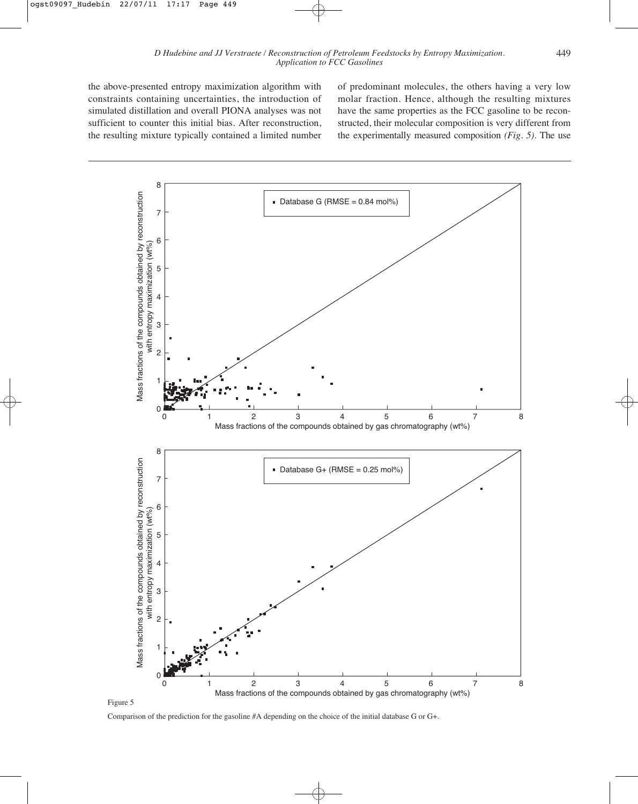the above-presented entropy maximization algorithm with constraints containing uncertainties, the introduction of simulated distillation and overall PIONA analyses was not sufficient to counter this initial bias. After reconstruction, the resulting mixture typically contained a limited number of predominant molecules, the others having a very low molar fraction. Hence, although the resulting mixtures have the same properties as the FCC gasoline to be reconstructed, their molecular composition is very different from the experimentally measured composition *(Fig. 5)*. The use



Figure 5

Comparison of the prediction for the gasoline #A depending on the choice of the initial database G or G+.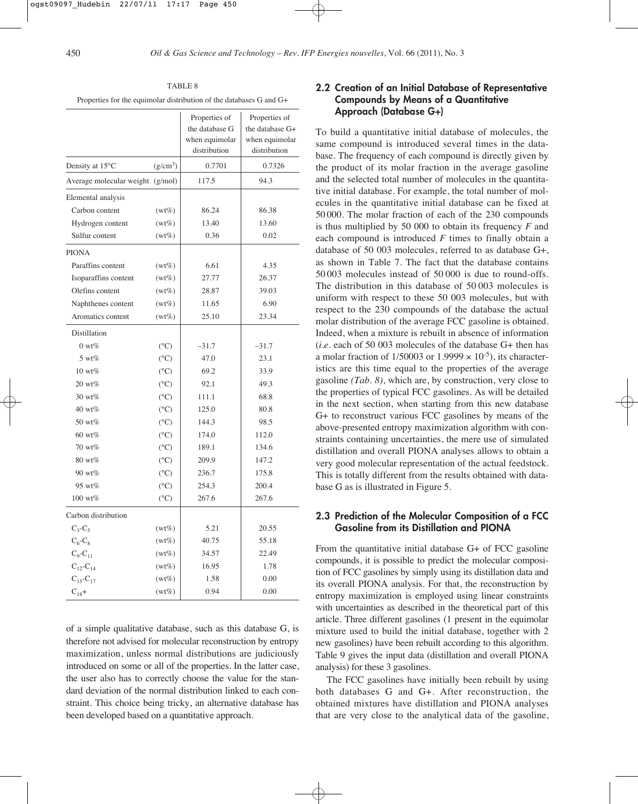TABLE 8 Properties for the equimolar distribution of the databases G and G+

|                                  |               | Properties of<br>the database G<br>when equimolar<br>distribution | Properties of<br>the database G+<br>when equimolar<br>distribution |
|----------------------------------|---------------|-------------------------------------------------------------------|--------------------------------------------------------------------|
| Density at 15°C                  | $(g/cm^3)$    | 0.7701                                                            | 0.7326                                                             |
| Average molecular weight (g/mol) |               | 117.5                                                             | 94.3                                                               |
| Elemental analysis               |               |                                                                   |                                                                    |
| Carbon content                   | $(wt\%)$      | 86.24                                                             | 86.38                                                              |
| Hydrogen content                 | $(wt\%)$      | 13.40                                                             | 13.60                                                              |
| Sulfur content                   | $(wt\%)$      | 0.36                                                              | 0.02                                                               |
| <b>PIONA</b>                     |               |                                                                   |                                                                    |
| Paraffins content                | $(wt\%)$      | 6.61                                                              | 4.35                                                               |
| Isoparaffins content             | $(wt\%)$      | 27.77                                                             | 26.37                                                              |
| Olefins content                  | $(wt\%)$      | 28.87                                                             | 39.03                                                              |
| Naphthenes content               | $(wt\%)$      | 11.65                                                             | 6.90                                                               |
| Aromatics content                | $(wt\%)$      | 25.10                                                             | 23.34                                                              |
| Distillation                     |               |                                                                   |                                                                    |
| $0 w t \%$                       | $(^{\circ}C)$ | $-31.7$                                                           | $-31.7$                                                            |
| $5 w t$ %                        | $(^{\circ}C)$ | 47.0                                                              | 23.1                                                               |
| 10 wt%                           | $(^{\circ}C)$ | 69.2                                                              | 33.9                                                               |
| 20 wt%                           | $(^{\circ}C)$ | 92.1                                                              | 49.3                                                               |
| 30 wt%                           | $(^{\circ}C)$ | 111.1                                                             | 68.8                                                               |
| 40 wt%                           | $(^{\circ}C)$ | 125.0                                                             | 80.8                                                               |
| 50 wt%                           | $(^{\circ}C)$ | 144.3                                                             | 98.5                                                               |
| 60~wt%                           | $(^{\circ}C)$ | 174.0                                                             | 112.0                                                              |
| 70 wt%                           | $(^{\circ}C)$ | 189.1                                                             | 134.6                                                              |
| 80 wt%                           | $(^{\circ}C)$ | 209.9                                                             | 147.2                                                              |
| 90 wt%                           | $(^{\circ}C)$ | 236.7                                                             | 175.8                                                              |
| 95 wt%                           | (°C)          | 254.3                                                             | 200.4                                                              |
| 100 wt%                          | $(^{\circ}C)$ | 267.6                                                             | 267.6                                                              |
| Carbon distribution              |               |                                                                   |                                                                    |
| $C_3-C_5$                        | $(wt\%)$      | 5.21                                                              | 20.55                                                              |
| $C_6-C_8$                        | $(wt\%)$      | 40.75                                                             | 55.18                                                              |
| $C_9$ - $C_{11}$                 | $(wt\%)$      | 34.57                                                             | 22.49                                                              |
| $C_{12}$ - $C_{14}$              | $(wt\%)$      | 16.95                                                             | 1.78                                                               |
| $C_{15}$ - $C_{17}$              | $(wt\%)$      | 1.58                                                              | 0.00                                                               |
| $C_{18}+$                        | $(wt\%)$      | 0.94                                                              | 0.00                                                               |

of a simple qualitative database, such as this database G, is therefore not advised for molecular reconstruction by entropy maximization, unless normal distributions are judiciously introduced on some or all of the properties. In the latter case, the user also has to correctly choose the value for the standard deviation of the normal distribution linked to each constraint. This choice being tricky, an alternative database has been developed based on a quantitative approach.

## 2.2 Creation of an Initial Database of Representative Compounds by Means of a Quantitative Approach (Database G+)

To build a quantitative initial database of molecules, the same compound is introduced several times in the database. The frequency of each compound is directly given by the product of its molar fraction in the average gasoline and the selected total number of molecules in the quantitative initial database. For example, the total number of molecules in the quantitative initial database can be fixed at 50 000. The molar fraction of each of the 230 compounds is thus multiplied by 50 000 to obtain its frequency *F* and each compound is introduced *F* times to finally obtain a database of 50 003 molecules, referred to as database G+, as shown in Table 7. The fact that the database contains 50 003 molecules instead of 50 000 is due to round-offs. The distribution in this database of 50 003 molecules is uniform with respect to these 50 003 molecules, but with respect to the 230 compounds of the database the actual molar distribution of the average FCC gasoline is obtained. Indeed, when a mixture is rebuilt in absence of information (*i*.*e*. each of 50 003 molecules of the database G+ then has a molar fraction of  $1/50003$  or  $1.9999 \times 10^{-5}$ ), its characteristics are this time equal to the properties of the average gasoline *(Tab. 8)*, which are, by construction, very close to the properties of typical FCC gasolines. As will be detailed in the next section, when starting from this new database G+ to reconstruct various FCC gasolines by means of the above-presented entropy maximization algorithm with constraints containing uncertainties, the mere use of simulated distillation and overall PIONA analyses allows to obtain a very good molecular representation of the actual feedstock. This is totally different from the results obtained with database G as is illustrated in Figure 5.

#### 2.3 Prediction of the Molecular Composition of a FCC Gasoline from its Distillation and PIONA

From the quantitative initial database G+ of FCC gasoline compounds, it is possible to predict the molecular composition of FCC gasolines by simply using its distillation data and its overall PIONA analysis. For that, the reconstruction by entropy maximization is employed using linear constraints with uncertainties as described in the theoretical part of this article. Three different gasolines (1 present in the equimolar mixture used to build the initial database, together with 2 new gasolines) have been rebuilt according to this algorithm. Table 9 gives the input data (distillation and overall PIONA analysis) for these 3 gasolines.

The FCC gasolines have initially been rebuilt by using both databases G and G+. After reconstruction, the obtained mixtures have distillation and PIONA analyses that are very close to the analytical data of the gasoline,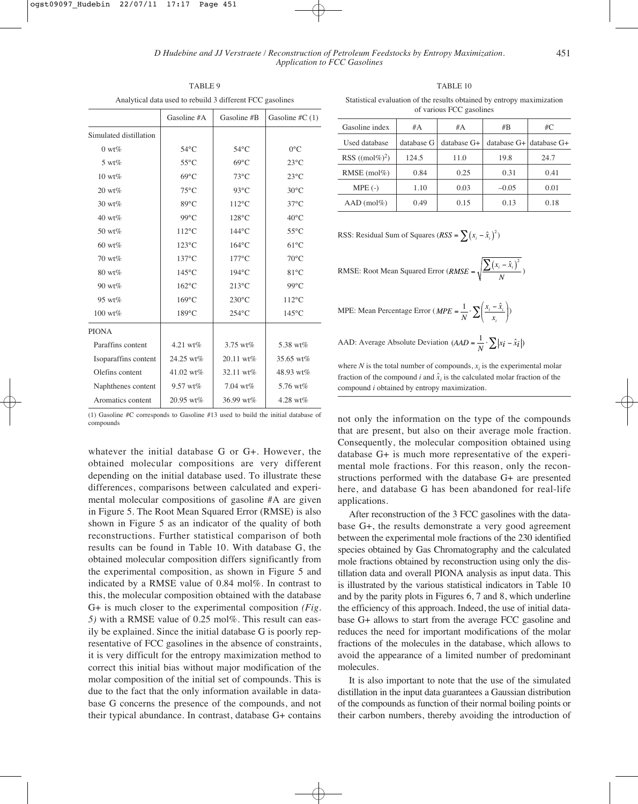|                        | Gasoline #A        | Gasoline #B          | Gasoline #C $(1)$ |
|------------------------|--------------------|----------------------|-------------------|
| Simulated distillation |                    |                      |                   |
| $0 \text{ wt\%}$       | $54^{\circ}$ C     | $54^{\circ}$ C       | $0^{\circ}$ C     |
| $5 \text{ wt\%}$       | $55^{\circ}$ C     | $69^{\circ}$ C       | $23^{\circ}$ C    |
| $10 \text{ wt\%}$      | $69^{\circ}$ C     | $73^{\circ}$ C       | $23^{\circ}$ C    |
| 20 wt%                 | $75^{\circ}$ C     | $93^{\circ}$ C       | $30^{\circ}$ C    |
| $30 \text{ wt\%}$      | $89^{\circ}$ C     | $112^{\circ}$ C      | $37^{\circ}$ C    |
| $40 \text{ wt%}$       | 99°C               | $128^{\circ}$ C      | $40^{\circ}$ C    |
| 50 wt $%$              | $112^{\circ}$ C    | $144^{\circ}$ C      | $55^{\circ}$ C    |
| $60 \text{ wt%}$       | $123^{\circ}$ C    | $164^{\circ}$ C      | $61^{\circ}$ C    |
| $70 \text{ wt%}$       | $137^{\circ}$ C    | $177^{\circ}$ C      | $70^{\circ}$ C    |
| $80 \text{ wt\%}$      | $145^{\circ}$ C    | $194$ °C             | $81^{\circ}$ C    |
| $90 \text{ wt\%}$      | $162^{\circ}$ C    | $213^{\circ}$ C      | 99°C              |
| 95 wt%                 | $169^{\circ}$ C    | $230^{\circ}$ C      | $112^{\circ}$ C   |
| 100 $wt%$              | 189°C              | $254^{\circ}$ C      | $145^{\circ}$ C   |
| <b>PIONA</b>           |                    |                      |                   |
| Paraffins content      | 4.21 wt%           | $3.75 \text{ wt%}$   | 5.38 wt%          |
| Isoparaffins content   | 24.25 wt%          | $20.11 \text{ wt\%}$ | 35.65 wt%         |
| Olefins content        | 41.02 wt%          | 32.11 $wt%$          | 48.93 wt%         |
| Naphthenes content     | $9.57 \text{ wt%}$ | $7.04 \text{ wt%}$   | 5.76 wt%          |
| Aromatics content      | 20.95 wt%          | 36.99 wt%            | 4.28 wt%          |

TABLE 9 Analytical data used to rebuild 3 different FCC gasolines

(1) Gasoline #C corresponds to Gasoline #13 used to build the initial database of compounds

whatever the initial database G or G+. However, the obtained molecular compositions are very different depending on the initial database used. To illustrate these differences, comparisons between calculated and experimental molecular compositions of gasoline #A are given in Figure 5. The Root Mean Squared Error (RMSE) is also shown in Figure 5 as an indicator of the quality of both reconstructions. Further statistical comparison of both results can be found in Table 10. With database G, the obtained molecular composition differs significantly from the experimental composition, as shown in Figure 5 and indicated by a RMSE value of 0.84 mol%. In contrast to this, the molecular composition obtained with the database G+ is much closer to the experimental composition *(Fig. 5)* with a RMSE value of 0.25 mol%. This result can easily be explained. Since the initial database G is poorly representative of FCC gasolines in the absence of constraints, it is very difficult for the entropy maximization method to correct this initial bias without major modification of the molar composition of the initial set of compounds. This is due to the fact that the only information available in database G concerns the presence of the compounds, and not their typical abundance. In contrast, database G+ contains

TABLE 10

Statistical evaluation of the results obtained by entropy maximization of various FCC gasolines

| Gasoline index    | #A         | #A            | #B      | #C                      |  |
|-------------------|------------|---------------|---------|-------------------------|--|
| Used database     | database G | database $G+$ |         | database G+ database G+ |  |
| RSS $((mol\%)^2)$ | 124.5      | 11.0          | 19.8    | 24.7                    |  |
| RMSE $(mol\%)$    | 0.84       | 0.25          | 0.31    | 0.41                    |  |
| $MPE$ (-)         | 1.10       | 0.03          | $-0.05$ | 0.01                    |  |
| $AAD$ (mol%)      | 0.49       | 0.15          | 0.13    | 0.18                    |  |

RSS: Residual Sum of Squares  $(RSS = \sum (x_i - \hat{x}_i)^2)$ 

**RMSE:** Root Mean Squared Error  $(RMSE = \sqrt{\frac{\sum (x_i - \hat{x}_i)^2}{N}})$  $=\sqrt{\frac{\sum (x_i - \hat{x}_i)^2}{n}}$ 

MPE: Mean Percentage Error ( $MPE = \frac{1}{N} \sum_{i} \left( \frac{x_i - x_i}{x_i} \right)$ )  $x_i - \hat{x}$  $\frac{x_i - x_i}{x_i}$  $=\frac{1}{N}\cdot\sum\left(\frac{x_i-\hat{x}_i}{x_i}\right)$ 

AAD: Average Absolute Deviation  $(AAD = \frac{1}{N} \cdot \sum |x_i - \hat{x}_i|)$ 

where  $N$  is the total number of compounds,  $x_i$  is the experimental molar fraction of the compound *i* and  $\hat{x}$ <sub>i</sub> is the calculated molar fraction of the compound *i* obtained by entropy maximization.

not only the information on the type of the compounds that are present, but also on their average mole fraction. Consequently, the molecular composition obtained using database G+ is much more representative of the experimental mole fractions. For this reason, only the reconstructions performed with the database G+ are presented here, and database G has been abandoned for real-life applications.

After reconstruction of the 3 FCC gasolines with the database G+, the results demonstrate a very good agreement between the experimental mole fractions of the 230 identified species obtained by Gas Chromatography and the calculated mole fractions obtained by reconstruction using only the distillation data and overall PIONA analysis as input data. This is illustrated by the various statistical indicators in Table 10 and by the parity plots in Figures 6, 7 and 8, which underline the efficiency of this approach. Indeed, the use of initial database G+ allows to start from the average FCC gasoline and reduces the need for important modifications of the molar fractions of the molecules in the database, which allows to avoid the appearance of a limited number of predominant molecules.

It is also important to note that the use of the simulated distillation in the input data guarantees a Gaussian distribution of the compounds as function of their normal boiling points or their carbon numbers, thereby avoiding the introduction of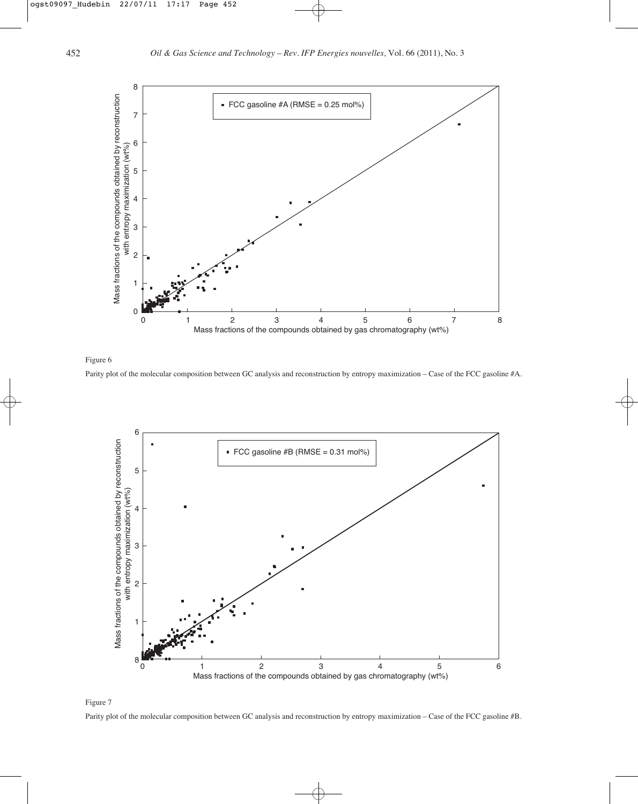







Parity plot of the molecular composition between GC analysis and reconstruction by entropy maximization – Case of the FCC gasoline #B.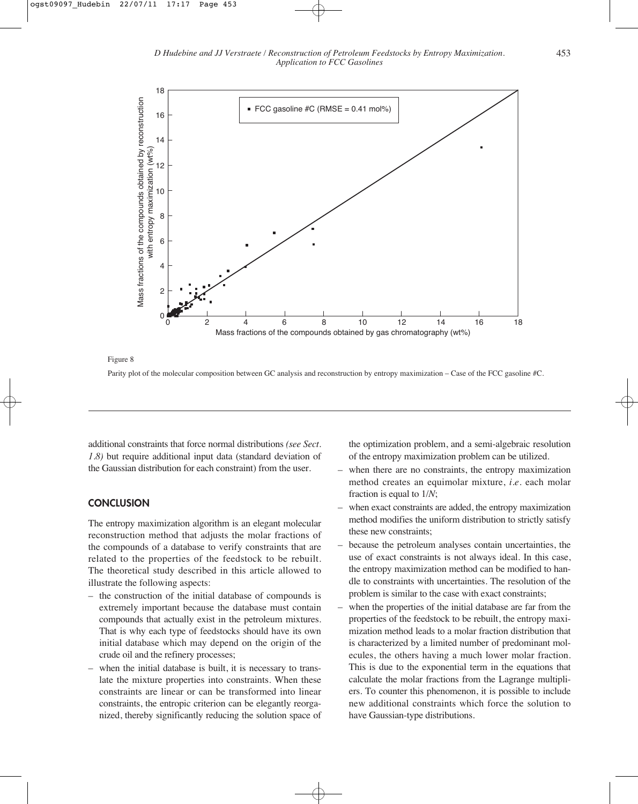



additional constraints that force normal distributions *(see Sect. 1.8)* but require additional input data (standard deviation of the Gaussian distribution for each constraint) from the user.

#### **CONCLUSION**

The entropy maximization algorithm is an elegant molecular reconstruction method that adjusts the molar fractions of the compounds of a database to verify constraints that are related to the properties of the feedstock to be rebuilt. The theoretical study described in this article allowed to illustrate the following aspects:

- the construction of the initial database of compounds is extremely important because the database must contain compounds that actually exist in the petroleum mixtures. That is why each type of feedstocks should have its own initial database which may depend on the origin of the crude oil and the refinery processes;
- when the initial database is built, it is necessary to translate the mixture properties into constraints. When these constraints are linear or can be transformed into linear constraints, the entropic criterion can be elegantly reorganized, thereby significantly reducing the solution space of

the optimization problem, and a semi-algebraic resolution of the entropy maximization problem can be utilized.

- when there are no constraints, the entropy maximization method creates an equimolar mixture, *i*.*e*. each molar fraction is equal to 1/*N*;
- when exact constraints are added, the entropy maximization method modifies the uniform distribution to strictly satisfy these new constraints;
- because the petroleum analyses contain uncertainties, the use of exact constraints is not always ideal. In this case, the entropy maximization method can be modified to handle to constraints with uncertainties. The resolution of the problem is similar to the case with exact constraints;
- when the properties of the initial database are far from the properties of the feedstock to be rebuilt, the entropy maximization method leads to a molar fraction distribution that is characterized by a limited number of predominant molecules, the others having a much lower molar fraction. This is due to the exponential term in the equations that calculate the molar fractions from the Lagrange multipliers. To counter this phenomenon, it is possible to include new additional constraints which force the solution to have Gaussian-type distributions.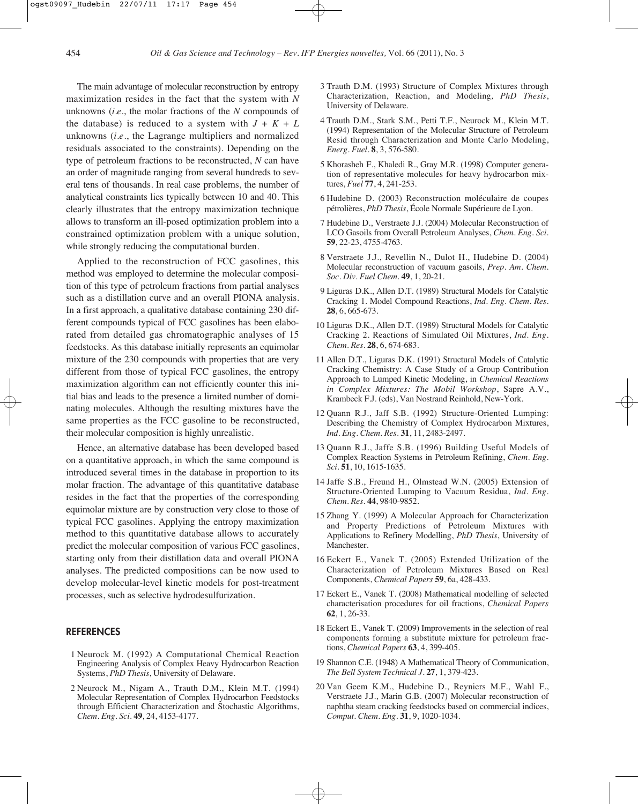The main advantage of molecular reconstruction by entropy maximization resides in the fact that the system with *N* unknowns (*i*.*e*., the molar fractions of the *N* compounds of the database) is reduced to a system with  $J + K + L$ unknowns (*i*.*e*., the Lagrange multipliers and normalized residuals associated to the constraints). Depending on the type of petroleum fractions to be reconstructed, *N* can have an order of magnitude ranging from several hundreds to several tens of thousands. In real case problems, the number of analytical constraints lies typically between 10 and 40. This clearly illustrates that the entropy maximization technique allows to transform an ill-posed optimization problem into a constrained optimization problem with a unique solution, while strongly reducing the computational burden.

Applied to the reconstruction of FCC gasolines, this method was employed to determine the molecular composition of this type of petroleum fractions from partial analyses such as a distillation curve and an overall PIONA analysis. In a first approach, a qualitative database containing 230 different compounds typical of FCC gasolines has been elaborated from detailed gas chromatographic analyses of 15 feedstocks. As this database initially represents an equimolar mixture of the 230 compounds with properties that are very different from those of typical FCC gasolines, the entropy maximization algorithm can not efficiently counter this initial bias and leads to the presence a limited number of dominating molecules. Although the resulting mixtures have the same properties as the FCC gasoline to be reconstructed, their molecular composition is highly unrealistic.

Hence, an alternative database has been developed based on a quantitative approach, in which the same compound is introduced several times in the database in proportion to its molar fraction. The advantage of this quantitative database resides in the fact that the properties of the corresponding equimolar mixture are by construction very close to those of typical FCC gasolines. Applying the entropy maximization method to this quantitative database allows to accurately predict the molecular composition of various FCC gasolines, starting only from their distillation data and overall PIONA analyses. The predicted compositions can be now used to develop molecular-level kinetic models for post-treatment processes, such as selective hydrodesulfurization.

#### **REFERENCES**

- 1 Neurock M. (1992) A Computational Chemical Reaction Engineering Analysis of Complex Heavy Hydrocarbon Reaction Systems, *PhD Thesis*, University of Delaware.
- 2 Neurock M., Nigam A., Trauth D.M., Klein M.T. (1994) Molecular Representation of Complex Hydrocarbon Feedstocks through Efficient Characterization and Stochastic Algorithms, *Chem. Eng. Sci.* **49**, 24, 4153-4177.
- 3 Trauth D.M. (1993) Structure of Complex Mixtures through Characterization, Reaction, and Modeling*, PhD Thesis*, University of Delaware.
- 4 Trauth D.M., Stark S.M., Petti T.F., Neurock M., Klein M.T. (1994) Representation of the Molecular Structure of Petroleum Resid through Characterization and Monte Carlo Modeling, *Energ. Fuel.* **8**, 3, 576-580.
- 5 Khorasheh F., Khaledi R., Gray M.R. (1998) Computer generation of representative molecules for heavy hydrocarbon mixtures, *Fuel* **77**, 4, 241-253.
- 6 Hudebine D. (2003) Reconstruction moléculaire de coupes pétrolières, *PhD Thesis*, École Normale Supérieure de Lyon.
- 7 Hudebine D., Verstraete J.J. (2004) Molecular Reconstruction of LCO Gasoils from Overall Petroleum Analyses, *Chem. Eng. Sci.* **59**, 22-23, 4755-4763.
- 8 Verstraete J.J., Revellin N., Dulot H., Hudebine D. (2004) Molecular reconstruction of vacuum gasoils, *Prep. Am. Chem. Soc. Div. Fuel Chem.* **49**, 1, 20-21.
- 9 Liguras D.K., Allen D.T. (1989) Structural Models for Catalytic Cracking 1. Model Compound Reactions, *Ind. Eng. Chem. Res.* **28**, 6, 665-673.
- 10 Liguras D.K., Allen D.T. (1989) Structural Models for Catalytic Cracking 2. Reactions of Simulated Oil Mixtures, *Ind. Eng. Chem. Res*. **28**, 6, 674-683.
- 11 Allen D.T., Liguras D.K. (1991) Structural Models of Catalytic Cracking Chemistry: A Case Study of a Group Contribution Approach to Lumped Kinetic Modeling, in *Chemical Reactions in Complex Mixtures: The Mobil Workshop*, Sapre A.V., Krambeck F.J. (eds), Van Nostrand Reinhold, New-York.
- 12 Quann R.J., Jaff S.B. (1992) Structure-Oriented Lumping: Describing the Chemistry of Complex Hydrocarbon Mixtures, *Ind. Eng. Chem. Res*. **31**, 11, 2483-2497.
- 13 Quann R.J., Jaffe S.B. (1996) Building Useful Models of Complex Reaction Systems in Petroleum Refining, *Chem. Eng. Sci*. **51**, 10, 1615-1635.
- 14 Jaffe S.B., Freund H., Olmstead W.N. (2005) Extension of Structure-Oriented Lumping to Vacuum Residua, *Ind. Eng. Chem. Res*. **44**, 9840-9852.
- 15 Zhang Y. (1999) A Molecular Approach for Characterization and Property Predictions of Petroleum Mixtures with Applications to Refinery Modelling, *PhD Thesis*, University of Manchester.
- 16 Eckert E., Vanek T. (2005) Extended Utilization of the Characterization of Petroleum Mixtures Based on Real Components, *Chemical Papers* **59**, 6a, 428-433.
- 17 Eckert E., Vanek T. (2008) Mathematical modelling of selected characterisation procedures for oil fractions, *Chemical Papers* **62**, 1, 26-33.
- 18 Eckert E., Vanek T. (2009) Improvements in the selection of real components forming a substitute mixture for petroleum fractions, *Chemical Papers* **63**, 4, 399-405.
- 19 Shannon C.E. (1948) A Mathematical Theory of Communication, *The Bell System Technical J*. **27**, 1, 379-423.
- 20 Van Geem K.M., Hudebine D., Reyniers M.F., Wahl F., Verstraete J.J., Marin G.B. (2007) Molecular reconstruction of naphtha steam cracking feedstocks based on commercial indices, *Comput. Chem. Eng*. **31**, 9, 1020-1034.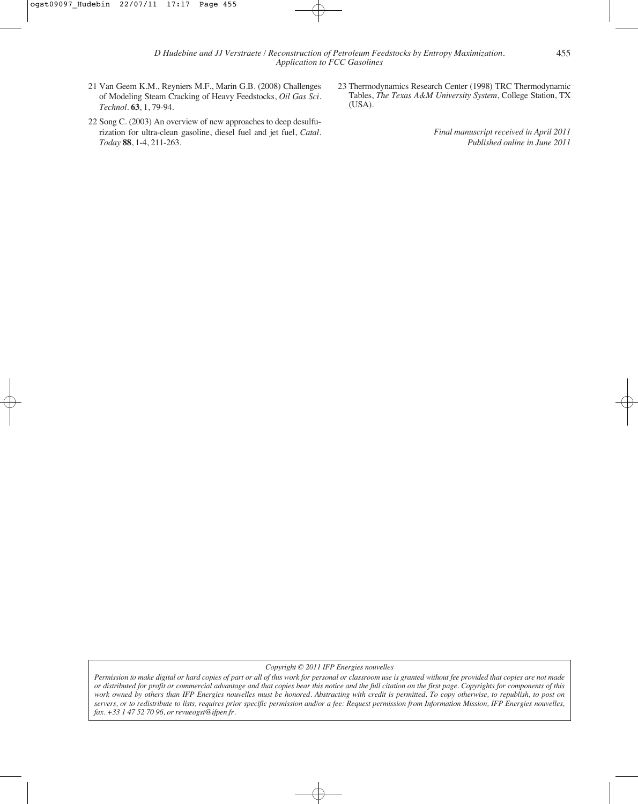- 21 Van Geem K.M., Reyniers M.F., Marin G.B. (2008) Challenges of Modeling Steam Cracking of Heavy Feedstocks, *Oil Gas Sci. Technol*. **63**, 1, 79-94.
- 22 Song C. (2003) An overview of new approaches to deep desulfurization for ultra-clean gasoline, diesel fuel and jet fuel, *Catal. Today* **88**, 1-4, 211-263.
- 23 Thermodynamics Research Center (1998) TRC Thermodynamic Tables, *The Texas A&M University System*, College Station, TX (USA).

*Final manuscript received in April 2011 Published online in June 2011*

*Copyright © 2011 IFP Energies nouvelles*

*Permission to make digital or hard copies of part or all of this work for personal or classroom use is granted without fee provided that copies are not made or distributed for profit or commercial advantage and that copies bear this notice and the full citation on the first page. Copyrights for components of this work owned by others than IFP Energies nouvelles must be honored. Abstracting with credit is permitted. To copy otherwise, to republish, to post on servers, or to redistribute to lists, requires prior specific permission and/or a fee: Request permission from Information Mission, IFP Energies nouvelles, fax. +33 1 47 52 70 96, or revueogst@ifpen.fr.*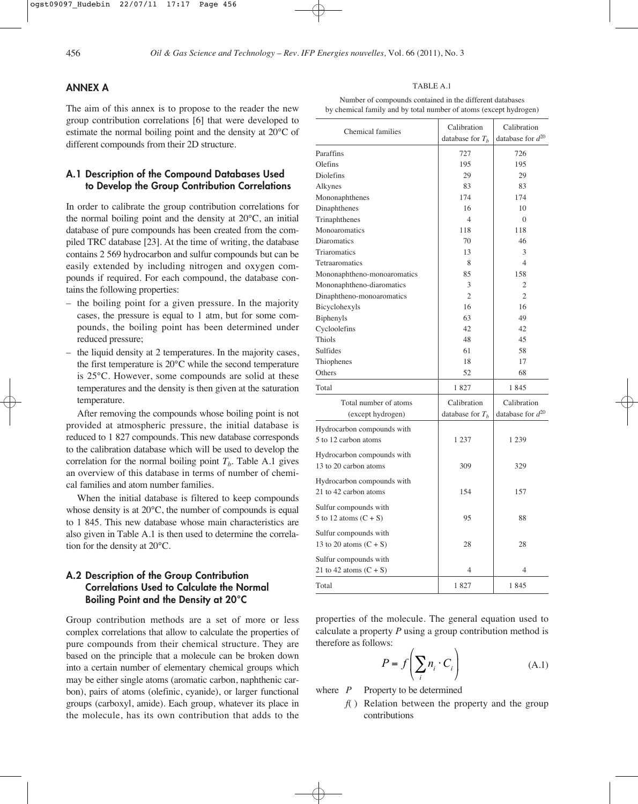#### ANNEX A

The aim of this annex is to propose to the reader the new group contribution correlations [6] that were developed to estimate the normal boiling point and the density at 20°C of different compounds from their 2D structure.

## A.1 Description of the Compound Databases Used to Develop the Group Contribution Correlations

In order to calibrate the group contribution correlations for the normal boiling point and the density at 20°C, an initial database of pure compounds has been created from the compiled TRC database [23]. At the time of writing, the database contains 2 569 hydrocarbon and sulfur compounds but can be easily extended by including nitrogen and oxygen compounds if required. For each compound, the database contains the following properties:

- the boiling point for a given pressure. In the majority cases, the pressure is equal to 1 atm, but for some compounds, the boiling point has been determined under reduced pressure;
- the liquid density at 2 temperatures. In the majority cases, the first temperature is 20°C while the second temperature is 25°C. However, some compounds are solid at these temperatures and the density is then given at the saturation temperature.

After removing the compounds whose boiling point is not provided at atmospheric pressure, the initial database is reduced to 1 827 compounds. This new database corresponds to the calibration database which will be used to develop the correlation for the normal boiling point  $T<sub>b</sub>$ . Table A.1 gives an overview of this database in terms of number of chemical families and atom number families.

When the initial database is filtered to keep compounds whose density is at 20°C, the number of compounds is equal to 1 845. This new database whose main characteristics are also given in Table A.1 is then used to determine the correlation for the density at 20°C.

## A.2 Description of the Group Contribution Correlations Used to Calculate the Normal Boiling Point and the Density at 20°C

Group contribution methods are a set of more or less complex correlations that allow to calculate the properties of pure compounds from their chemical structure. They are based on the principle that a molecule can be broken down into a certain number of elementary chemical groups which may be either single atoms (aromatic carbon, naphthenic carbon), pairs of atoms (olefinic, cyanide), or larger functional groups (carboxyl, amide). Each group, whatever its place in the molecule, has its own contribution that adds to the

Number of compounds contained in the different databases by chemical family and by total number of atoms (except hydrogen)

| Chemical families           | Calibration<br>database for $Tb$ | Calibration<br>database for $d^{20}$ |  |
|-----------------------------|----------------------------------|--------------------------------------|--|
|                             |                                  |                                      |  |
| Paraffins                   | 727                              | 726                                  |  |
| Olefins                     | 195                              | 195                                  |  |
| Diolefins                   | 29                               | 29                                   |  |
| Alkynes                     | 83                               | 83                                   |  |
| Mononaphthenes              | 174                              | 174                                  |  |
| Dinaphthenes                | 16                               | 10                                   |  |
| Trinaphthenes               | $\overline{4}$                   | $\Omega$                             |  |
| Monoaromatics               | 118                              | 118                                  |  |
| <b>Diaromatics</b>          | 70                               | 46                                   |  |
| Triaromatics                | 13                               | 3                                    |  |
| Tetraaromatics              | 8                                | $\overline{4}$                       |  |
| Mononaphtheno-monoaromatics | 85                               | 158                                  |  |
| Mononaphtheno-diaromatics   | 3                                | 2                                    |  |
| Dinaphtheno-monoaromatics   | $\overline{c}$                   | $\overline{c}$                       |  |
| Bicyclohexyls               | 16                               | 16                                   |  |
| <b>Biphenyls</b>            | 63                               | 49                                   |  |
| Cycloolefins                | 42                               | 42                                   |  |
| Thiols                      | 48                               | 45                                   |  |
| <b>Sulfides</b>             | 61                               | 58                                   |  |
| Thiophenes                  | 17<br>18                         |                                      |  |
| Others                      | 52                               | 68                                   |  |
| Total                       | 1827                             | 1845                                 |  |
| Total number of atoms       | Calibration                      | Calibration                          |  |
| (except hydrogen)           | database for $T_h$               | database for $d^{20}$                |  |
| Hydrocarbon compounds with  |                                  |                                      |  |
| 5 to 12 carbon atoms        | 1 2 3 7                          | 1 2 3 9                              |  |
| Hydrocarbon compounds with  |                                  |                                      |  |
| 13 to 20 carbon atoms       | 309                              | 329                                  |  |
| Hydrocarbon compounds with  |                                  |                                      |  |
| 21 to 42 carbon atoms       | 154                              | 157                                  |  |
| Sulfur compounds with       |                                  |                                      |  |
| 5 to 12 atoms $(C + S)$     | 95                               | 88                                   |  |
| Sulfur compounds with       |                                  |                                      |  |
| 13 to 20 atoms $(C + S)$    | 28                               | 28                                   |  |
| Sulfur compounds with       |                                  |                                      |  |
| 21 to 42 atoms $(C + S)$    | 4                                | 4                                    |  |
| Total                       | 1827                             | 1845                                 |  |

properties of the molecule. The general equation used to calculate a property *P* using a group contribution method is therefore as follows:

$$
P = f\left(\sum_{i} n_i \cdot C_i\right) \tag{A.1}
$$

where *P* Property to be determined

*f*( ) Relation between the property and the group contributions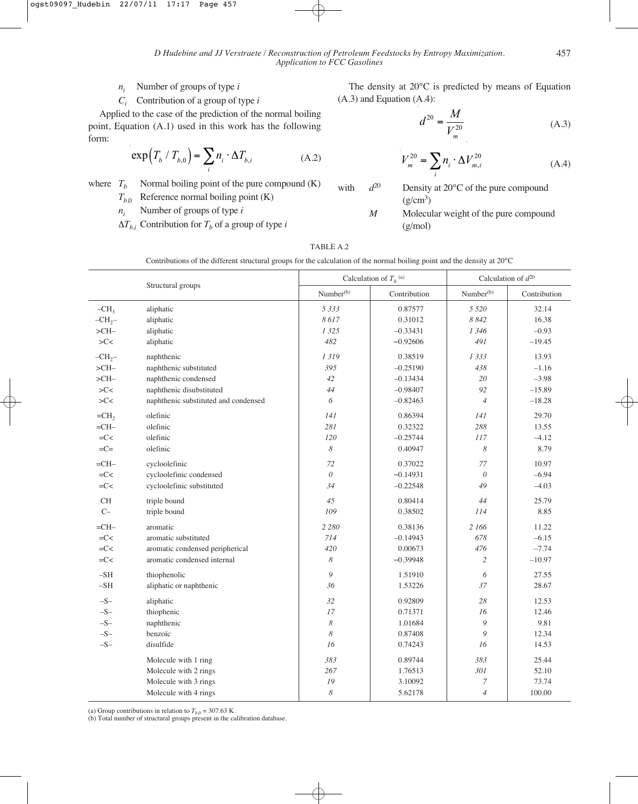- *ni* Number of groups of type *i*
- *Ci* Contribution of a group of type *i*

Applied to the case of the prediction of the normal boiling point, Equation (A.1) used in this work has the following form:

$$
\exp\left(T_b / T_{b,0}\right) = \sum_i n_i \cdot \Delta T_{b,i} \tag{A.2}
$$

where  $T_b$  Normal boiling point of the pure compound (K)

- $T_{b,0}$  Reference normal boiling point (K)
- *ni* Number of groups of type *i*
- $\Delta T_{bi}$  Contribution for  $T_b$  of a group of type *i*

The density at 20°C is predicted by means of Equation (A.3) and Equation (A.4):

$$
d^{20} = \frac{M}{V_m^{20}}
$$
 (A.3)

$$
V_m^{20} = \sum_i n_i \cdot \Delta V_{m,i}^{20}
$$
 (A.4)

with  $d^{20}$  Density at 20 $^{\circ}$ C of the pure compound  $(g/cm<sup>3</sup>)$ 

> *M* Molecular weight of the pure compound (g/mol)

#### TABLE A.2

Contributions of the different structural groups for the calculation of the normal boiling point and the density at 20°C

|            | Structural groups                    | Calculation of $T_h$ <sup>(a)</sup> |              | Calculation of $d^{20}$ |              |
|------------|--------------------------------------|-------------------------------------|--------------|-------------------------|--------------|
|            |                                      |                                     | Contribution | Number <sup>(b)</sup>   | Contribution |
| $-CH3$     | aliphatic                            | 5 3 3 3                             | 0.87577      | 5 5 20                  | 32.14        |
| $-CH2$     | aliphatic                            | 8617                                | 0.31012      | 8 8 4 2                 | 16.38        |
| $>CH-$     | aliphatic                            | 1 3 2 5                             | $-0.33431$   | 1 3 4 6                 | $-0.93$      |
| ${><}C{<}$ | aliphatic                            | 482                                 | $-0.92606$   | 491                     | $-19.45$     |
| $-CH2$     | naphthenic                           | 1319                                | 0.38519      | 1333                    | 13.93        |
| $>CH-$     | naphthenic substituted               | 395                                 | $-0.25190$   | 438                     | $-1.16$      |
| $>CH-$     | naphthenic condensed                 | 42                                  | $-0.13434$   | 20                      | $-3.98$      |
| ${><}C{<}$ | naphthenic disubstituted             | 44                                  | $-0.98407$   | 92                      | $-15.89$     |
| ${><}C{<}$ | naphthenic substituted and condensed | 6                                   | $-0.82463$   | $\overline{4}$          | $-18.28$     |
| $=CH2$     | olefinic                             | 141                                 | 0.86394      | 141                     | 29.70        |
| $=CH-$     | olefinic                             | 281                                 | 0.32322      | 288                     | 13.55        |
| $=C<$      | olefinic                             | 120                                 | $-0.25744$   | 117                     | $-4.12$      |
| $=C=$      | olefinic                             | $\boldsymbol{8}$                    | 0.40947      | $\boldsymbol{8}$        | 8.79         |
| $=CH-$     | cycloolefinic                        | 72                                  | 0.37022      | 77                      | 10.97        |
| $=C<$      | cycloolefinic condensed              | $\theta$                            | $-0.14931$   | $\theta$                | $-6.94$      |
| $=C<$      | cycloolefinic substituted            | 34                                  | $-0.22548$   | 49                      | $-4.03$      |
| <b>CH</b>  | triple bound                         | 45                                  | 0.80414      | 44                      | 25.79        |
| $C-$       | triple bound                         | 109                                 | 0.38502      | 114                     | 8.85         |
| $=CH-$     | aromatic                             | 2 2 8 0                             | 0.38136      | 2 166                   | 11.22        |
| $=C<$      | aromatic substituted                 | 714                                 | $-0.14943$   | 678                     | $-6.15$      |
| $=C<$      | aromatic condensed peripherical      | 420                                 | 0.00673      | 476                     | $-7.74$      |
| $=C<$      | aromatic condensed internal          | 8                                   | $-0.39948$   | $\overline{c}$          | $-10.97$     |
| $-SH$      | thiophenolic                         | 9                                   | 1.51910      | 6                       | 27.55        |
| $-SH$      | aliphatic or naphthenic              | 36                                  | 1.53226      | 37                      | 28.67        |
| $-S-$      | aliphatic                            | 32                                  | 0.92809      | 28                      | 12.53        |
| $-S-$      | thiophenic                           | 17                                  | 0.71371      | 16                      | 12.46        |
| $-S-$      | naphthenic                           | 8                                   | 1.01684      | 9                       | 9.81         |
| $-S-$      | benzoïc                              | 8                                   | 0.87408      | 9                       | 12.34        |
| $-S-$      | disulfide                            | 16                                  | 0.74243      | 16                      | 14.53        |
|            | Molecule with 1 ring                 | 383                                 | 0.89744      | 383                     | 25.44        |
|            | Molecule with 2 rings                | 267                                 | 1.76513      | 301                     | 52.10        |
|            | Molecule with 3 rings                | ${\it 19}$                          | 3.10092      | $\boldsymbol{7}$        | 73.74        |
|            | Molecule with 4 rings                | $\boldsymbol{8}$                    | 5.62178      | $\overline{4}$          | 100.00       |

(a) Group contributions in relation to  $T_{b,0} = 307.63$  K.

(b) Total number of structural groups present in the calibration database.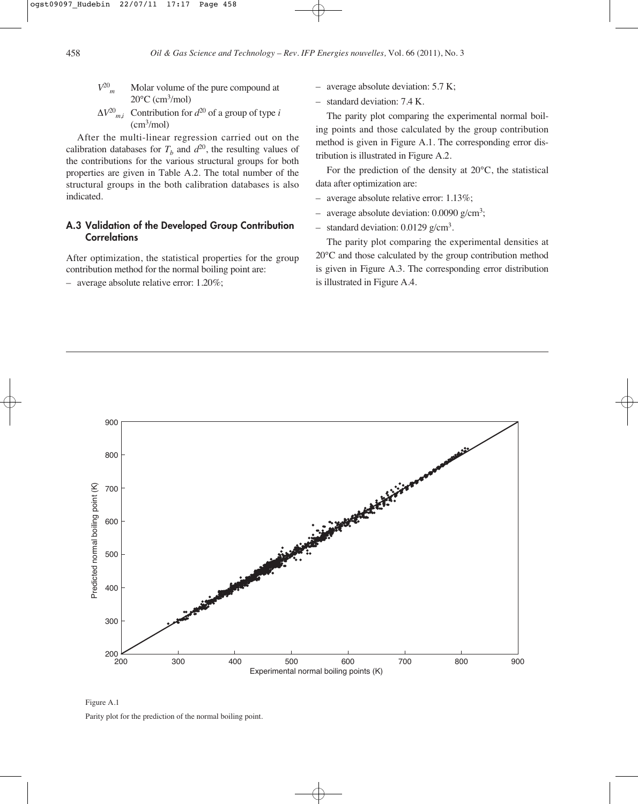- $V^{20}$ <sup>m</sup> Molar volume of the pure compound at  $20^{\circ}$ C (cm<sup>3</sup>/mol)
- $\Delta V^{20}$ <sub>*m,i*</sub> Contribution for  $d^{20}$  of a group of type *i*  $(cm<sup>3</sup>/mol)$

After the multi-linear regression carried out on the calibration databases for  $T_b$  and  $d^{20}$ , the resulting values of the contributions for the various structural groups for both properties are given in Table A.2. The total number of the structural groups in the both calibration databases is also indicated.

## A.3 Validation of the Developed Group Contribution **Correlations**

After optimization, the statistical properties for the group contribution method for the normal boiling point are:

– average absolute relative error: 1.20%;

- average absolute deviation: 5.7 K;
- standard deviation: 7.4 K.

The parity plot comparing the experimental normal boiling points and those calculated by the group contribution method is given in Figure A.1. The corresponding error distribution is illustrated in Figure A.2.

For the prediction of the density at 20°C, the statistical data after optimization are:

- average absolute relative error: 1.13%;
- average absolute deviation:  $0.0090$  g/cm<sup>3</sup>;
- standard deviation:  $0.0129$  g/cm<sup>3</sup>.

The parity plot comparing the experimental densities at 20°C and those calculated by the group contribution method is given in Figure A.3. The corresponding error distribution is illustrated in Figure A.4.



Figure A.1 Parity plot for the prediction of the normal boiling point.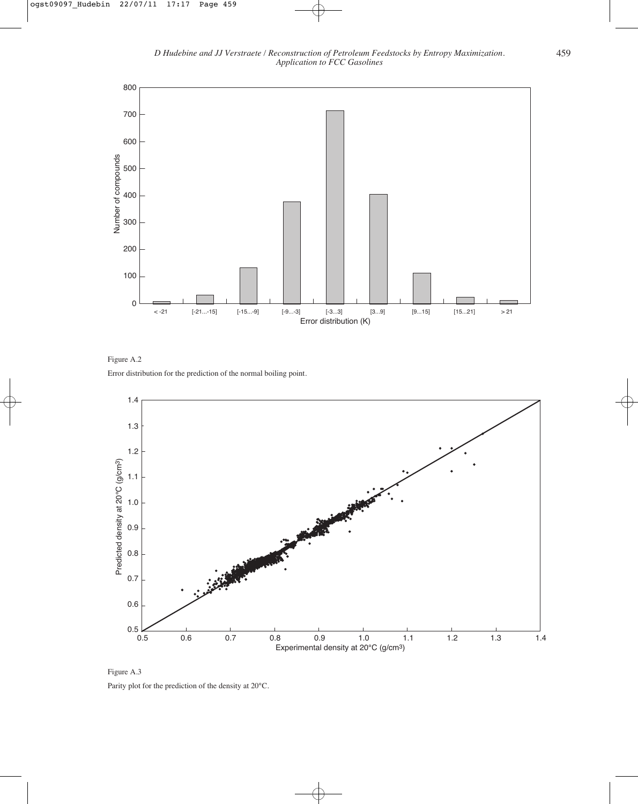

Figure A.2 Error distribution for the prediction of the normal boiling point.



Figure A.3 Parity plot for the prediction of the density at 20°C.